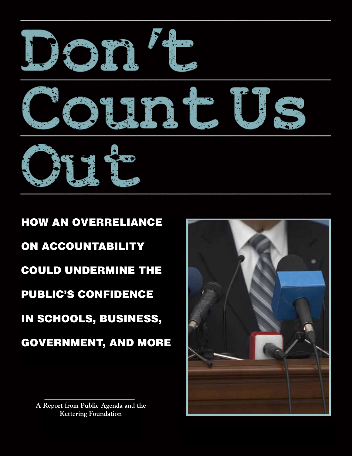

HOW AN OVERRELIANCE ON ACCOUNTABILITY COULD UNDERMINE THE PUBLIC'S CONFIDENCE IN SCHOOLS, BUSINESS, GOVERNMENT, AND MORE

**A Report from Public Agenda and the Kettering Foundation**

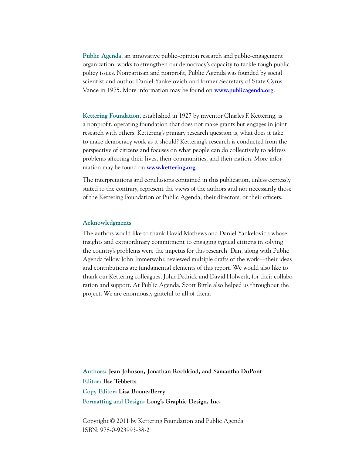**Public Agenda**, an innovative public-opinion research and public-engagement organization, works to strengthen our democracy's capacity to tackle tough public policy issues. Nonpartisan and nonprofit, Public Agenda was founded by social scientist and author Daniel Yankelovich and former Secretary of State Cyrus Vance in 1975. More information may be found on **www.publicagenda.org**.

**Kettering Foundation**, established in 1927 by inventor Charles F. Kettering, is a nonprofit, operating foundation that does not make grants but engages in joint research with others. Kettering's primary research question is, what does it take to make democracy work as it should? Kettering's research is conducted from the perspective of citizens and focuses on what people can do collectively to address problems affecting their lives, their communities, and their nation. More information may be found on **www.kettering.org**.

The interpretations and conclusions contained in this publication, unless expressly stated to the contrary, represent the views of the authors and not necessarily those of the Kettering Foundation or Public Agenda, their directors, or their officers.

#### **Acknowledgments**

The authors would like to thank David Mathews and Daniel Yankelovich whose insights and extraordinary commitment to engaging typical citizens in solving the country's problems were the impetus for this research. Dan, along with Public Agenda fellow John Immerwahr, reviewed multiple drafts of the work—their ideas and contributions are fundamental elements of this report. We would also like to thank our Kettering colleagues, John Dedrick and David Holwerk, for their collaboration and support. At Public Agenda, Scott Bittle also helped us throughout the project. We are enormously grateful to all of them.

**Authors: Jean Johnson, Jonathan Rochkind, and Samantha DuPont Editor: Ilse Tebbetts Copy Editor: Lisa Boone-Berry Formatting and Design: Long's Graphic Design, Inc.**

Copyright © 2011 by Kettering Foundation and Public Agenda ISBN: 978-0-923993-38-2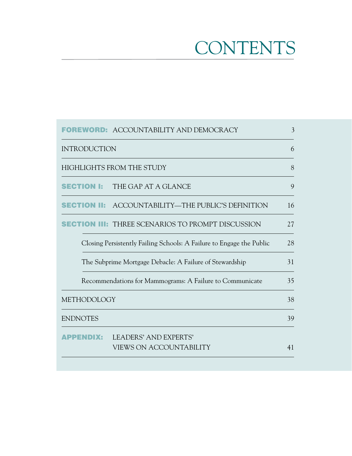# **CONTENTS**

|                 |                     | <b>FOREWORD: ACCOUNTABILITY AND DEMOCRACY</b>                        | 3  |
|-----------------|---------------------|----------------------------------------------------------------------|----|
|                 | <b>INTRODUCTION</b> |                                                                      | 6  |
|                 |                     | HIGHLIGHTS FROM THE STUDY                                            | 8  |
|                 |                     | <b>SECTION I:</b> THE GAP AT A GLANCE                                | 9  |
|                 |                     | <b>SECTION II:</b> ACCOUNTABILITY—THE PUBLIC'S DEFINITION            | 16 |
|                 |                     | <b>III: THREE SCENARIOS TO PROMPT DISCUSSION</b>                     | 27 |
|                 |                     | Closing Persistently Failing Schools: A Failure to Engage the Public | 28 |
|                 |                     | The Subprime Mortgage Debacle: A Failure of Stewardship              | 31 |
|                 |                     | Recommendations for Mammograms: A Failure to Communicate             | 35 |
|                 | <b>METHODOLOGY</b>  |                                                                      | 38 |
| <b>ENDNOTES</b> |                     |                                                                      | 39 |
|                 | PPENDIX:            | LEADERS' AND EXPERTS'<br><b>VIEWS ON ACCOUNTABILITY</b>              | 41 |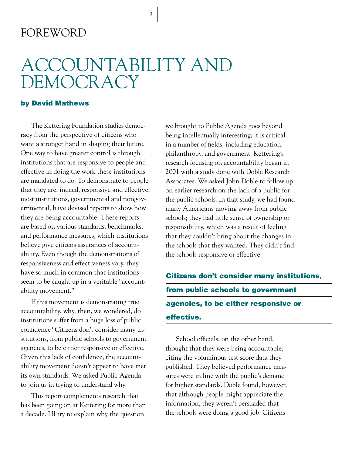### FOREWORD

## ACCOUNTABILITY AND DEMOCRACY

3

#### by David Mathews

The Kettering Foundation studies democracy from the perspective of citizens who want a stronger hand in shaping their future. One way to have greater control is through institutions that are responsive to people and effective in doing the work these institutions are mandated to do. To demonstrate to people that they are, indeed, responsive and effective, most institutions, governmental and nongovernmental, have devised reports to show how they are being accountable. These reports are based on various standards, benchmarks, and performance measures, which institutions believe give citizens assurances of accountability. Even though the demonstrations of responsiveness and effectiveness vary, they have so much in common that institutions seem to be caught up in a veritable "accountability movement."

If this movement is demonstrating true accountability, why, then, we wondered, do institutions suffer from a huge loss of public confidence? Citizens don't consider many institutions, from public schools to government agencies, to be either responsive or effective. Given this lack of confidence, the accountability movement doesn't appear to have met its own standards. We asked Public Agenda to join us in trying to understand why.

This report complements research that has been going on at Kettering for more than a decade. I'll try to explain why the question

we brought to Public Agenda goes beyond being intellectually interesting; it is critical in a number of fields, including education, philanthropy, and government. Kettering's research focusing on accountability began in 2001 with a study done with Doble Research Associates. We asked John Doble to follow up on earlier research on the lack of a public for the public schools. In that study, we had found many Americans moving away from public schools; they had little sense of ownership or responsibility, which was a result of feeling that they couldn't bring about the changes in the schools that they wanted. They didn't find the schools responsive or effective.

Citizens don't consider many institutions, from public schools to government agencies, to be either responsive or effective.

School officials, on the other hand, thought that they were being accountable, citing the voluminous test score data they published. They believed performance measures were in line with the public's demand for higher standards. Doble found, however, that although people might appreciate the information, they weren't persuaded that the schools were doing a good job. Citizens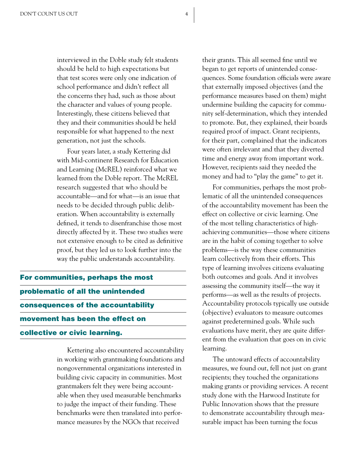interviewed in the Doble study felt students should be held to high expectations but that test scores were only one indication of school performance and didn't reflect all the concerns they had, such as those about the character and values of young people. Interestingly, these citizens believed that they and their communities should be held responsible for what happened to the next generation, not just the schools.

Four years later, a study Kettering did with Mid-continent Research for Education and Learning (McREL) reinforced what we learned from the Doble report. The McREL research suggested that who should be accountable—and for what—is an issue that needs to be decided through public deliberation. When accountability is externally defined, it tends to disenfranchise those most directly affected by it. These two studies were not extensive enough to be cited as definitive proof, but they led us to look further into the way the public understands accountability.

For communities, perhaps the most problematic of all the unintended consequences of the accountability movement has been the effect on collective or civic learning.

> Kettering also encountered accountability in working with grantmaking foundations and nongovernmental organizations interested in building civic capacity in communities. Most grantmakers felt they were being accountable when they used measurable benchmarks to judge the impact of their funding. These benchmarks were then translated into performance measures by the NGOs that received

their grants. This all seemed fine until we began to get reports of unintended consequences. Some foundation officials were aware that externally imposed objectives (and the performance measures based on them) might undermine building the capacity for community self-determination, which they intended to promote. But, they explained, their boards required proof of impact. Grant recipients, for their part, complained that the indicators were often irrelevant and that they diverted time and energy away from important work. However, recipients said they needed the money and had to "play the game" to get it.

For communities, perhaps the most problematic of all the unintended consequences of the accountability movement has been the effect on collective or civic learning. One of the most telling characteristics of highachieving communities—those where citizens are in the habit of coming together to solve problems—is the way these communities learn collectively from their efforts. This type of learning involves citizens evaluating both outcomes and goals. And it involves assessing the community itself—the way it performs—as well as the results of projects. Accountability protocols typically use outside (objective) evaluators to measure outcomes against predetermined goals. While such evaluations have merit, they are quite different from the evaluation that goes on in civic learning.

The untoward effects of accountability measures, we found out, fell not just on grant recipients; they touched the organizations making grants or providing services. A recent study done with the Harwood Institute for Public Innovation shows that the pressure to demonstrate accountability through measurable impact has been turning the focus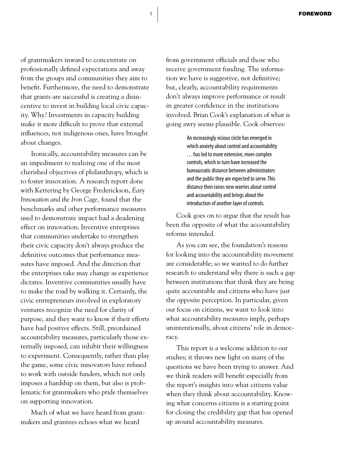of grantmakers inward to concentrate on professionally defined expectations and away from the groups and communities they aim to benefit. Furthermore, the need to demonstrate that grants are successful is creating a disincentive to invest in building local civic capacity. Why? Investments in capacity building make it more difficult to prove that external influences, not indigenous ones, have brought about changes.

Ironically, accountability measures can be an impediment to realizing one of the most cherished objectives of philanthropy, which is to foster innovation. A research report done with Kettering by George Frederickson, *Easy Innovation and the Iron Cage,* found that the benchmarks and other performance measures used to demonstrate impact had a deadening effect on innovation. Inventive enterprises that communities undertake to strengthen their civic capacity don't always produce the definitive outcomes that performance measures have imposed. And the direction that the enterprises take may change as experience dictates. Inventive communities usually have to make the road by walking it. Certainly, the civic entrepreneurs involved in exploratory ventures recognize the need for clarity of purpose, and they want to know if their efforts have had positive effects. Still, preordained accountability measures, particularly those externally imposed, can inhibit their willingness to experiment. Consequently, rather than play the game, some civic innovators have refused to work with outside funders, which not only imposes a hardship on them, but also is problematic for grantmakers who pride themselves on supporting innovation.

Much of what we have heard from grantmakers and grantees echoes what we heard

from government officials and those who receive government funding. The information we have is suggestive, not definitive; but, clearly, accountability requirements don't always improve performance or result in greater confidence in the institutions involved. Brian Cook's explanation of what is going awry seems plausible. Cook observes:

> An increasingly vicious circle has emerged in which anxiety about control and accountability . . . has led to more extensive, more complex controls, which in turn have increased the bureaucratic distance between administrators and the public they are expected to serve. This distance then raises new worries about control and accountability and brings about the introduction of another layer of controls.

Cook goes on to argue that the result has been the opposite of what the accountability reforms intended.

As you can see, the foundation's reasons for looking into the accountability movement are considerable; so we wanted to do further research to understand why there is such a gap between institutions that think they are being quite accountable and citizens who have just the opposite perception. In particular, given our focus on citizens, we want to look into what accountability measures imply, perhaps unintentionally, about citizens' role in democracy.

This report is a welcome addition to our studies; it throws new light on many of the questions we have been trying to answer. And we think readers will benefit especially from the report's insights into what citizens value when they think about accountability. Knowing what concerns citizens is a starting point for closing the credibility gap that has opened up around accountability measures.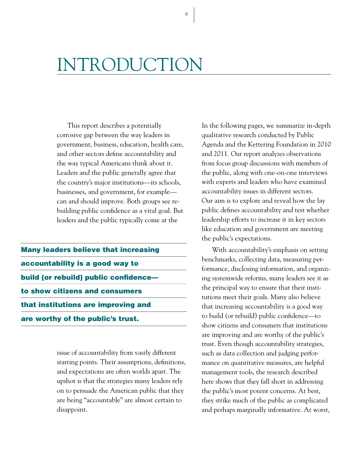# INTRODUCTION

This report describes a potentially corrosive gap between the way leaders in government, business, education, health care, and other sectors define accountability and the way typical Americans think about it. Leaders and the public generally agree that the country's major institutions—its schools, businesses, and government, for example can and should improve. Both groups see rebuilding public confidence as a vital goal. But leaders and the public typically come at the

Many leaders believe that increasing accountability is a good way to build (or rebuild) public confidence to show citizens and consumers that institutions are improving and are worthy of the public's trust.

> issue of accountability from vastly different starting points. Their assumptions, definitions, and expectations are often worlds apart. The upshot is that the strategies many leaders rely on to persuade the American public that they are being "accountable" are almost certain to disappoint.

In the following pages, we summarize in-depth qualitative research conducted by Public Agenda and the Kettering Foundation in 2010 and 2011. Our report analyzes observations from focus group discussions with members of the public, along with one-on-one interviews with experts and leaders who have examined accountability issues in different sectors. Our aim is to explore and reveal how the lay public defines accountability and test whether leadership efforts to increase it in key sectors like education and government are meeting the public's expectations.

With accountability's emphasis on setting benchmarks, collecting data, measuring performance, disclosing information, and organizing systemwide reforms, many leaders see it as the principal way to ensure that their institutions meet their goals. Many also believe that increasing accountability is a good way to build (or rebuild) public confidence—to show citizens and consumers that institutions are improving and are worthy of the public's trust. Even though accountability strategies, such as data collection and judging performance on quantitative measures, are helpful management tools, the research described here shows that they fall short in addressing the public's most potent concerns. At best, they strike much of the public as complicated and perhaps marginally informative. At worst,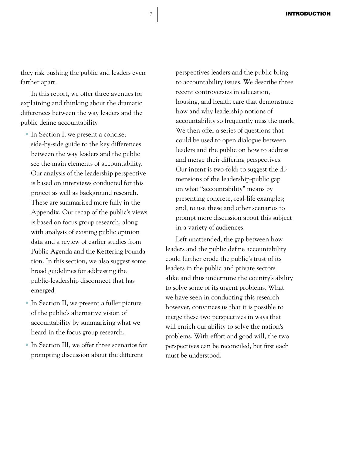they risk pushing the public and leaders even farther apart.

In this report, we offer three avenues for explaining and thinking about the dramatic differences between the way leaders and the public define accountability.

- In Section I, we present a concise, side-by-side guide to the key differences between the way leaders and the public see the main elements of accountability. Our analysis of the leadership perspective is based on interviews conducted for this project as well as background research. These are summarized more fully in the Appendix. Our recap of the public's views is based on focus group research, along with analysis of existing public opinion data and a review of earlier studies from Public Agenda and the Kettering Foundation. In this section, we also suggest some broad guidelines for addressing the public-leadership disconnect that has emerged.
- In Section II, we present a fuller picture of the public's alternative vision of accountability by summarizing what we heard in the focus group research.
- In Section III, we offer three scenarios for prompting discussion about the different

perspectives leaders and the public bring to accountability issues. We describe three recent controversies in education, housing, and health care that demonstrate how and why leadership notions of accountability so frequently miss the mark. We then offer a series of questions that could be used to open dialogue between leaders and the public on how to address and merge their differing perspectives. Our intent is two-fold: to suggest the dimensions of the leadership-public gap on what "accountability" means by presenting concrete, real-life examples; and, to use these and other scenarios to prompt more discussion about this subject in a variety of audiences.

Left unattended, the gap between how leaders and the public define accountability could further erode the public's trust of its leaders in the public and private sectors alike and thus undermine the country's ability to solve some of its urgent problems. What we have seen in conducting this research however, convinces us that it is possible to merge these two perspectives in ways that will enrich our ability to solve the nation's problems. With effort and good will, the two perspectives can be reconciled, but first each must be understood.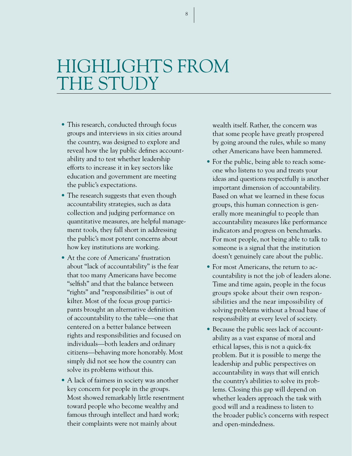# HIGHLIGHTS FROM THE STUDY

- This research, conducted through focus groups and interviews in six cities around the country, was designed to explore and reveal how the lay public defines accountability and to test whether leadership efforts to increase it in key sectors like education and government are meeting the public's expectations.
- The research suggests that even though accountability strategies, such as data collection and judging performance on quantitative measures, are helpful management tools, they fall short in addressing the public's most potent concerns about how key institutions are working.
- At the core of Americans' frustration about "lack of accountability" is the fear that too many Americans have become "selfish" and that the balance between "rights" and "responsibilities" is out of kilter. Most of the focus group participants brought an alternative definition of accountability to the table—one that centered on a better balance between rights and responsibilities and focused on individuals—both leaders and ordinary citizens—behaving more honorably. Most simply did not see how the country can solve its problems without this.
- A lack of fairness in society was another key concern for people in the groups. Most showed remarkably little resentment toward people who become wealthy and famous through intellect and hard work; their complaints were not mainly about

wealth itself. Rather, the concern was that some people have greatly prospered by going around the rules, while so many other Americans have been hammered.

- For the public, being able to reach someone who listens to you and treats your ideas and questions respectfully is another important dimension of accountability. Based on what we learned in these focus groups, this human connection is generally more meaningful to people than accountability measures like performance indicators and progress on benchmarks. For most people, not being able to talk to someone is a signal that the institution doesn't genuinely care about the public.
- For most Americans, the return to accountability is not the job of leaders alone. Time and time again, people in the focus groups spoke about their own responsibilities and the near impossibility of solving problems without a broad base of responsibility at every level of society.
- Because the public sees lack of accountability as a vast expanse of moral and ethical lapses, this is not a quick-fix problem. But it is possible to merge the leadership and public perspectives on accountability in ways that will enrich the country's abilities to solve its problems. Closing this gap will depend on whether leaders approach the task with good will and a readiness to listen to the broader public's concerns with respect and open-mindedness.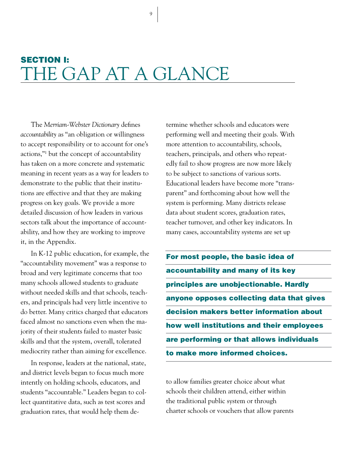## SECTION I: THE GAP AT A GLANCE

9

The *Merriam-Webster Dictionary* defines *accountability* as "an obligation or willingness to accept responsibility or to account for one's actions,"<sup>1</sup> but the concept of accountability has taken on a more concrete and systematic meaning in recent years as a way for leaders to demonstrate to the public that their institutions are effective and that they are making progress on key goals. We provide a more detailed discussion of how leaders in various sectors talk about the importance of accountability, and how they are working to improve it, in the Appendix.

In K-12 public education, for example, the "accountability movement" was a response to broad and very legitimate concerns that too many schools allowed students to graduate without needed skills and that schools, teachers, and principals had very little incentive to do better. Many critics charged that educators faced almost no sanctions even when the majority of their students failed to master basic skills and that the system, overall, tolerated mediocrity rather than aiming for excellence.

In response, leaders at the national, state, and district levels began to focus much more intently on holding schools, educators, and students "accountable." Leaders began to collect quantitative data, such as test scores and graduation rates, that would help them determine whether schools and educators were performing well and meeting their goals. With more attention to accountability, schools, teachers, principals, and others who repeatedly fail to show progress are now more likely to be subject to sanctions of various sorts. Educational leaders have become more "transparent" and forthcoming about how well the system is performing. Many districts release data about student scores, graduation rates, teacher turnover, and other key indicators. In many cases, accountability systems are set up

For most people, the basic idea of accountability and many of its key principles are unobjectionable. Hardly anyone opposes collecting data that gives decision makers better information about how well institutions and their employees are performing or that allows individuals to make more informed choices.

to allow families greater choice about what schools their children attend, either within the traditional public system or through charter schools or vouchers that allow parents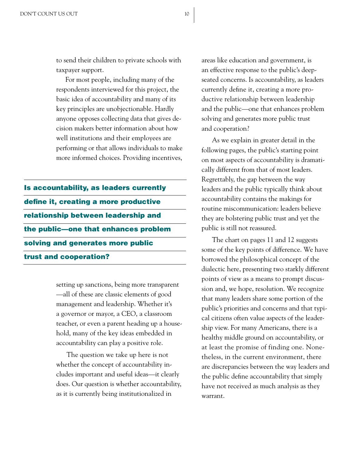to send their children to private schools with taxpayer support.

For most people, including many of the respondents interviewed for this project, the basic idea of accountability and many of its key principles are unobjectionable. Hardly anyone opposes collecting data that gives decision makers better information about how well institutions and their employees are performing or that allows individuals to make more informed choices. Providing incentives,

Is accountability, as leaders currently define it, creating a more productive relationship between leadership and the public—one that enhances problem solving and generates more public trust and cooperation?

> setting up sanctions, being more transparent —all of these are classic elements of good management and leadership. Whether it's a governor or mayor, a CEO, a classroom teacher, or even a parent heading up a household, many of the key ideas embedded in accountability can play a positive role.

> The question we take up here is not whether the concept of accountability includes important and useful ideas—it clearly does. Our question is whether accountability, as it is currently being institutionalized in

areas like education and government, is an effective response to the public's deepseated concerns. Is accountability, as leaders currently define it, creating a more productive relationship between leadership and the public—one that enhances problem solving and generates more public trust and cooperation?

As we explain in greater detail in the following pages, the public's starting point on most aspects of accountability is dramatically different from that of most leaders. Regrettably, the gap between the way leaders and the public typically think about accountability contains the makings for routine miscommunication: leaders believe they are bolstering public trust and yet the public is still not reassured.

The chart on pages 11 and 12 suggests some of the key points of difference. We have borrowed the philosophical concept of the dialectic here, presenting two starkly different points of view as a means to prompt discussion and, we hope, resolution. We recognize that many leaders share some portion of the public's priorities and concerns and that typical citizens often value aspects of the leadership view. For many Americans, there is a healthy middle ground on accountability, or at least the promise of finding one. Nonetheless, in the current environment, there are discrepancies between the way leaders and the public define accountability that simply have not received as much analysis as they warrant.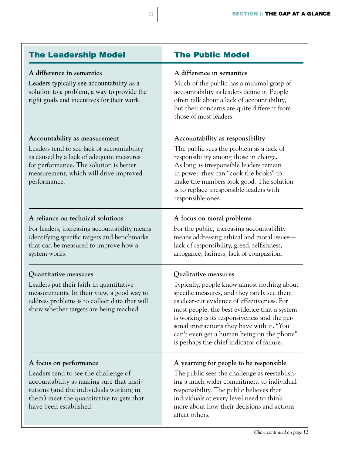| <b>The Public Model</b>                                                                                                                                                                                                                                                                                                                                                                                      |  |  |
|--------------------------------------------------------------------------------------------------------------------------------------------------------------------------------------------------------------------------------------------------------------------------------------------------------------------------------------------------------------------------------------------------------------|--|--|
| A difference in semantics<br>Much of the public has a minimal grasp of<br>accountability as leaders define it. People<br>often talk about a lack of accountability,<br>but their concerns are quite different from<br>those of most leaders.                                                                                                                                                                 |  |  |
| Accountability as responsibility<br>The public sees the problem as a lack of<br>responsibility among those in charge.<br>As long as irresponsible leaders remain<br>in power, they can "cook the books" to<br>make the numbers look good. The solution<br>is to replace irresponsible leaders with<br>responsible ones.                                                                                      |  |  |
| A focus on moral problems<br>For the public, increasing accountability<br>means addressing ethical and moral issues-<br>lack of responsibility, greed, selfishness,<br>arrogance, laziness, lack of compassion.                                                                                                                                                                                              |  |  |
| Qualitative measures<br>Typically, people know almost nothing about<br>specific measures, and they rarely see them<br>as clear-cut evidence of effectiveness. For<br>most people, the best evidence that a system<br>is working is its responsiveness and the per-<br>sonal interactions they have with it. "You<br>can't even get a human being on the phone"<br>is perhaps the chief indicator of failure. |  |  |
| A yearning for people to be responsible<br>The public sees the challenge as reestablish-<br>ing a much wider commitment to individual<br>responsibility. The public believes that<br>individuals at every level need to think<br>more about how their decisions and actions<br>affect others.                                                                                                                |  |  |
|                                                                                                                                                                                                                                                                                                                                                                                                              |  |  |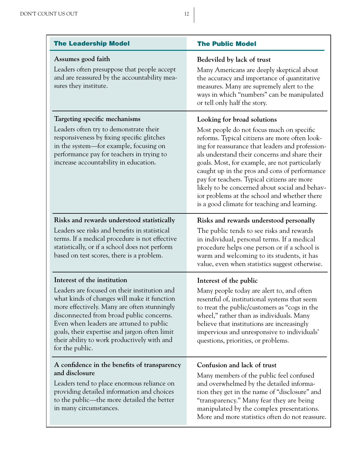| <b>The Leadership Model</b>                                                                                                                                                                                                                                                                                                                                                         | <b>The Public Model</b>                                                                                                                                                                                                                                                                                                                                                                                                                                                                                                             |  |  |
|-------------------------------------------------------------------------------------------------------------------------------------------------------------------------------------------------------------------------------------------------------------------------------------------------------------------------------------------------------------------------------------|-------------------------------------------------------------------------------------------------------------------------------------------------------------------------------------------------------------------------------------------------------------------------------------------------------------------------------------------------------------------------------------------------------------------------------------------------------------------------------------------------------------------------------------|--|--|
| Assumes good faith<br>Leaders often presuppose that people accept<br>and are reassured by the accountability mea-<br>sures they institute.                                                                                                                                                                                                                                          | Bedeviled by lack of trust<br>Many Americans are deeply skeptical about<br>the accuracy and importance of quantitative<br>measures. Many are supremely alert to the<br>ways in which "numbers" can be manipulated<br>or tell only half the story.                                                                                                                                                                                                                                                                                   |  |  |
| Targeting specific mechanisms<br>Leaders often try to demonstrate their<br>responsiveness by fixing specific glitches<br>in the system—for example, focusing on<br>performance pay for teachers in trying to<br>increase accountability in education.                                                                                                                               | Looking for broad solutions<br>Most people do not focus much on specific<br>reforms. Typical citizens are more often look-<br>ing for reassurance that leaders and profession-<br>als understand their concerns and share their<br>goals. Most, for example, are not particularly<br>caught up in the pros and cons of performance<br>pay for teachers. Typical citizens are more<br>likely to be concerned about social and behav-<br>ior problems at the school and whether there<br>is a good climate for teaching and learning. |  |  |
| Risks and rewards understood statistically<br>Leaders see risks and benefits in statistical<br>terms. If a medical procedure is not effective<br>statistically, or if a school does not perform<br>based on test scores, there is a problem.                                                                                                                                        | Risks and rewards understood personally<br>The public tends to see risks and rewards<br>in individual, personal terms. If a medical<br>procedure helps one person or if a school is<br>warm and welcoming to its students, it has<br>value, even when statistics suggest otherwise.                                                                                                                                                                                                                                                 |  |  |
| Interest of the institution<br>Leaders are focused on their institution and<br>what kinds of changes will make it function<br>more effectively. Many are often stunningly<br>disconnected from broad public concerns.<br>Even when leaders are attuned to public<br>goals, their expertise and jargon often limit<br>their ability to work productively with and<br>for the public. | Interest of the public<br>Many people today are alert to, and often<br>resentful of, institutional systems that seem<br>to treat the public/customers as "cogs in the<br>wheel," rather than as individuals. Many<br>believe that institutions are increasingly<br>impervious and unresponsive to individuals'<br>questions, priorities, or problems.                                                                                                                                                                               |  |  |
| A confidence in the benefits of transparency<br>and disclosure<br>Leaders tend to place enormous reliance on<br>providing detailed information and choices<br>to the public—the more detailed the better<br>in many circumstances.                                                                                                                                                  | Confusion and lack of trust<br>Many members of the public feel confused<br>and overwhelmed by the detailed informa-<br>tion they get in the name of "disclosure" and<br>"transparency." Many fear they are being<br>manipulated by the complex presentations.<br>More and more statistics often do not reassure.                                                                                                                                                                                                                    |  |  |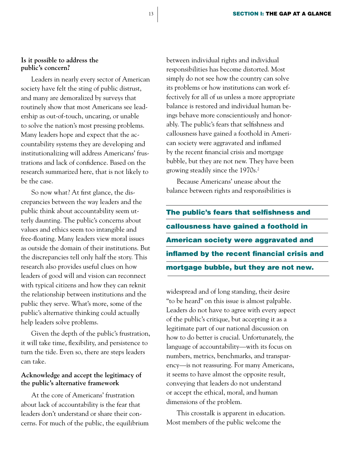#### **Is it possible to address the public's concern?**

Leaders in nearly every sector of American society have felt the sting of public distrust, and many are demoralized by surveys that routinely show that most Americans see leadership as out-of-touch, uncaring, or unable to solve the nation's most pressing problems. Many leaders hope and expect that the accountability systems they are developing and institutionalizing will address Americans' frustrations and lack of confidence. Based on the research summarized here, that is not likely to be the case.

So now what? At first glance, the discrepancies between the way leaders and the public think about accountability seem utterly daunting. The public's concerns about values and ethics seem too intangible and free-floating. Many leaders view moral issues as outside the domain of their institutions. But the discrepancies tell only half the story. This research also provides useful clues on how leaders of good will and vision can reconnect with typical citizens and how they can reknit the relationship between institutions and the public they serve. What's more, some of the public's alternative thinking could actually help leaders solve problems.

Given the depth of the public's frustration, it will take time, flexibility, and persistence to turn the tide. Even so, there are steps leaders can take.

#### **Acknowledge and accept the legitimacy of the public's alternative framework**

At the core of Americans' frustration about lack of accountability is the fear that leaders don't understand or share their concerns. For much of the public, the equilibrium between individual rights and individual responsibilities has become distorted. Most simply do not see how the country can solve its problems or how institutions can work effectively for all of us unless a more appropriate balance is restored and individual human beings behave more conscientiously and honorably. The public's fears that selfishness and callousness have gained a foothold in American society were aggravated and inflamed by the recent financial crisis and mortgage bubble, but they are not new. They have been growing steadily since the 1970s.2

Because Americans' unease about the balance between rights and responsibilities is

The public's fears that selfishness and callousness have gained a foothold in American society were aggravated and inflamed by the recent financial crisis and mortgage bubble, but they are not new.

widespread and of long standing, their desire "to be heard" on this issue is almost palpable. Leaders do not have to agree with every aspect of the public's critique, but accepting it as a legitimate part of our national discussion on how to do better is crucial. Unfortunately, the language of accountability—with its focus on numbers, metrics, benchmarks, and transparency—is not reassuring. For many Americans, it seems to have almost the opposite result, conveying that leaders do not understand or accept the ethical, moral, and human dimensions of the problem.

This crosstalk is apparent in education. Most members of the public welcome the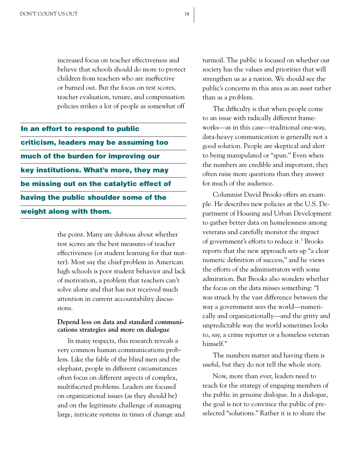increased focus on teacher effectiveness and believe that schools should do more to protect children from teachers who are ineffective or burned out. But the focus on test scores, teacher evaluation, tenure, and compensation policies strikes a lot of people as somewhat off

In an effort to respond to public criticism, leaders may be assuming too much of the burden for improving our key institutions. What's more, they may be missing out on the catalytic effect of having the public shoulder some of the weight along with them.

> the point. Many are dubious about whether test scores are the best measures of teacher effectiveness (or student learning for that matter). Most say the chief problem in American high schools is poor student behavior and lack of motivation, a problem that teachers can't solve alone and that has not received much attention in current accountability discussions.

#### **Depend less on data and standard communications strategies and more on dialogue**

In many respects, this research reveals a very common human communications problem. Like the fable of the blind men and the elephant, people in different circumstances often focus on different aspects of complex, multifaceted problems. Leaders are focused on organizational issues (as they should be) and on the legitimate challenge of managing large, intricate systems in times of change and

turmoil. The public is focused on whether our society has the values and priorities that will strengthen us as a nation. We should see the public's concerns in this area as an asset rather than as a problem.

The difficulty is that when people come to an issue with radically different frameworks—as in this case—traditional one-way, data-heavy communication is generally not a good solution. People are skeptical and alert to being manipulated or "spun." Even when the numbers are credible and important, they often raise more questions than they answer for much of the audience.

Columnist David Brooks offers an example. He describes new policies at the U.S. Department of Housing and Urban Development to gather better data on homelessness among veterans and carefully monitor the impact of government's efforts to reduce it.<sup>3</sup> Brooks reports that the new approach sets up "a clear numeric definition of success," and he views the efforts of the administrators with some admiration. But Brooks also wonders whether the focus on the data misses something: "I was struck by the vast difference between the way a government sees the world—numerically and organizationally—and the gritty and unpredictable way the world sometimes looks to, say, a crime reporter or a homeless veteran himself."

The numbers matter and having them is useful, but they do not tell the whole story.

Now, more than ever, leaders need to reach for the strategy of engaging members of the public in genuine dialogue. In a dialogue, the goal is not to convince the public of preselected "solutions." Rather it is to share the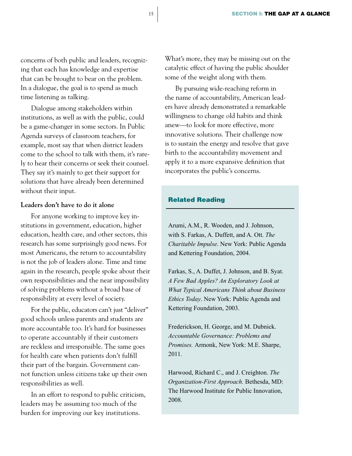concerns of both public and leaders, recognizing that each has knowledge and expertise that can be brought to bear on the problem. In a dialogue, the goal is to spend as much time listening as talking.

Dialogue among stakeholders within institutions, as well as with the public, could be a game-changer in some sectors. In Public Agenda surveys of classroom teachers, for example, most say that when district leaders come to the school to talk with them, it's rarely to hear their concerns or seek their counsel. They say it's mainly to get their support for solutions that have already been determined without their input.

#### **Leaders don't have to do it alone**

For anyone working to improve key institutions in government, education, higher education, health care, and other sectors, this research has some surprisingly good news. For most Americans, the return to accountability is not the job of leaders alone. Time and time again in the research, people spoke about their own responsibilities and the near impossibility of solving problems without a broad base of responsibility at every level of society.

For the public, educators can't just "deliver" good schools unless parents and students are more accountable too. It's hard for businesses to operate accountably if their customers are reckless and irresponsible. The same goes for health care when patients don't fulfill their part of the bargain. Government cannot function unless citizens take up their own responsibilities as well.

In an effort to respond to public criticism, leaders may be assuming too much of the burden for improving our key institutions.

What's more, they may be missing out on the catalytic effect of having the public shoulder some of the weight along with them.

By pursuing wide-reaching reform in the name of accountability, American leaders have already demonstrated a remarkable willingness to change old habits and think anew—to look for more effective, more innovative solutions. Their challenge now is to sustain the energy and resolve that gave birth to the accountability movement and apply it to a more expansive definition that incorporates the public's concerns.

#### Related Reading

Arumi, A.M., R. Wooden, and J. Johnson, with S. Farkas, A. Duffett, and A. Ott. *The Charitable Impulse*. New York: Public Agenda and Kettering Foundation, 2004.

Farkas, S., A. Duffet, J. Johnson, and B. Syat. *A Few Bad Apples? An Exploratory Look at What Typical Americans Think about Business Ethics Today*. New York: Public Agenda and Kettering Foundation, 2003.

Frederickson, H. George, and M. Dubnick. *Accountable Governance: Problems and Promises.* Armonk, New York: M.E. Sharpe, 2011.

Harwood, Richard C., and J. Creighton. *The Organization-First Approach.* Bethesda, MD: The Harwood Institute for Public Innovation, 2008.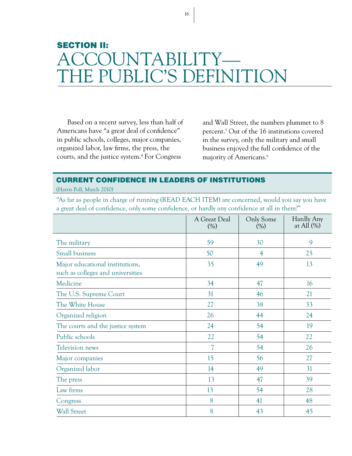## SECTION II: COUNTABILITY— HE PUBLIC'S DEFINITION

Based on a recent survey, less than half of Americans have "a great deal of confidence" in public schools, colleges, major companies, organized labor, law firms, the press, the courts, and the justice system.4 For Congress

and Wall Street, the numbers plummet to 8 percent.5 Out of the 16 institutions covered in the survey, only the military and small business enjoyed the full confidence of the majority of Americans.<sup>6</sup>

#### CURRENT CONFIDENCE IN LEADERS OF INSTITUTIONS

(Harris Poll, March 2010)

"As far as people in charge of running (READ EACH ITEM) are concerned, would you say you have a great deal of confidence, only some confidence, or hardly any confidence at all in them?"

|                                                                      | A Great Deal<br>(%) | Only Some<br>$(\%)$ | Hardly Any<br>at All $(\%)$ |
|----------------------------------------------------------------------|---------------------|---------------------|-----------------------------|
| The military                                                         | 59                  | 30                  | 9                           |
| Small business                                                       | 50                  | $\overline{4}$      | 25                          |
| Major educational institutions,<br>such as colleges and universities | 35                  | 49                  | 13                          |
| Medicine                                                             | 34                  | 47                  | 16                          |
| The U.S. Supreme Court                                               | 31                  | 46                  | 21                          |
| The White House                                                      | 27                  | 38                  | 33                          |
| Organized religion                                                   | 26                  | 44                  | 24                          |
| The courts and the justice system                                    | 24                  | 54                  | 19                          |
| Public schools                                                       | 22                  | 54                  | 22                          |
| <b>Television news</b>                                               | $\overline{7}$      | 54                  | 26                          |
| Major companies                                                      | 15                  | 56                  | 27                          |
| Organized labor                                                      | 14                  | 49                  | 31                          |
| The press                                                            | 13                  | 47                  | 39                          |
| Law firms                                                            | 13                  | 54                  | 28                          |
| Congress                                                             | 8                   | 41                  | 48                          |
| <b>Wall Street</b>                                                   | 8                   | 43                  | 45                          |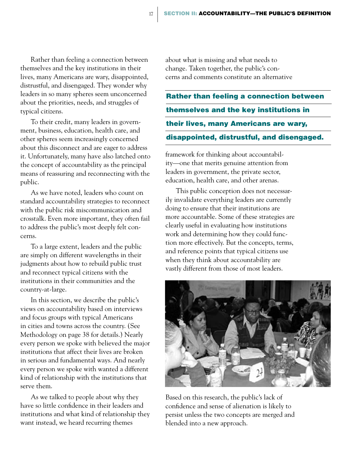Rather than feeling a connection between themselves and the key institutions in their lives, many Americans are wary, disappointed, distrustful, and disengaged. They wonder why leaders in so many spheres seem unconcerned about the priorities, needs, and struggles of typical citizens.

To their credit, many leaders in government, business, education, health care, and other spheres seem increasingly concerned about this disconnect and are eager to address it. Unfortunately, many have also latched onto the concept of accountability as the principal means of reassuring and reconnecting with the public.

As we have noted, leaders who count on standard accountability strategies to reconnect with the public risk miscommunication and crosstalk. Even more important, they often fail to address the public's most deeply felt concerns.

To a large extent, leaders and the public are simply on different wavelengths in their judgments about how to rebuild public trust and reconnect typical citizens with the institutions in their communities and the country-at-large.

In this section, we describe the public's views on accountability based on interviews and focus groups with typical Americans in cities and towns across the country. (See Methodology on page 38 for details.) Nearly every person we spoke with believed the major institutions that affect their lives are broken in serious and fundamental ways. And nearly every person we spoke with wanted a different kind of relationship with the institutions that serve them.

As we talked to people about why they have so little confidence in their leaders and institutions and what kind of relationship they want instead, we heard recurring themes

about what is missing and what needs to change. Taken together, the public's concerns and comments constitute an alternative

Rather than feeling a connection between themselves and the key institutions in their lives, many Americans are wary, disappointed, distrustful, and disengaged.

framework for thinking about accountability—one that merits genuine attention from leaders in government, the private sector, education, health care, and other arenas.

This public conception does not necessarily invalidate everything leaders are currently doing to ensure that their institutions are more accountable. Some of these strategies are clearly useful in evaluating how institutions work and determining how they could function more effectively. But the concepts, terms, and reference points that typical citizens use when they think about accountability are vastly different from those of most leaders.



Based on this research, the public's lack of confidence and sense of alienation is likely to persist unless the two concepts are merged and blended into a new approach.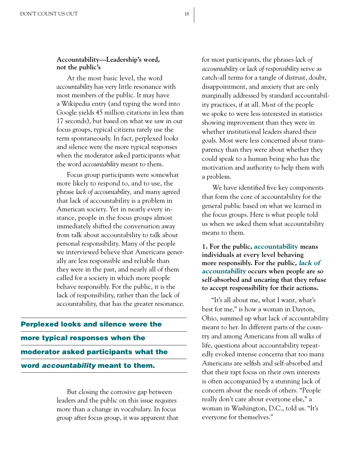#### **Accountability—Leadership's word, not the public's**

At the most basic level, the word *accountability* has very little resonance with most members of the public. It may have a Wikipedia entry (and typing the word into Google yields 45 million citations in less than 17 seconds), but based on what we saw in our focus groups, typical citizens rarely use the term spontaneously. In fact, perplexed looks and silence were the more typical responses when the moderator asked participants what the word *accountability* meant to them.

Focus group participants were somewhat more likely to respond to, and to use, the phrase *lack of accountability,* and many agreed that lack of accountability is a problem in American society. Yet in nearly every instance, people in the focus groups almost immediately shifted the conversation away from talk about accountability to talk about personal responsibility. Many of the people we interviewed believe that Americans generally are less responsible and reliable than they were in the past, and nearly all of them called for a society in which more people behave responsibly. For the public, it is the lack of responsibility, rather than the lack of accountability, that has the greater resonance.

## Perplexed looks and silence were the more typical responses when the moderator asked participants what the word *accountability* meant to them.

But closing the corrosive gap between leaders and the public on this issue requires more than a change in vocabulary. In focus group after focus group, it was apparent that for most participants, the phrases *lack of accountability* or *lack of responsibility* serve as catch-all terms for a tangle of distrust, doubt, disappointment, and anxiety that are only marginally addressed by standard accountability practices, if at all. Most of the people we spoke to were less interested in statistics showing improvement than they were in whether institutional leaders shared their goals. Most were less concerned about transparency than they were about whether they could speak to a human being who has the motivation and authority to help them with a problem.

We have identified five key components that form the core of accountability for the general public based on what we learned in the focus groups. Here is what people told us when we asked them what accountability means to them.

**1. For the public, accountability means individuals at every level behaving more responsibly. For the public, lack of accountability occurs when people are so self-absorbed and uncaring that they refuse to accept responsibility for their actions.** 

"It's all about me, what I want, what's best for me," is how a woman in Dayton, Ohio, summed up what lack of accountability meant to her. In different parts of the country and among Americans from all walks of life, questions about accountability repeatedly evoked intense concerns that too many Americans are selfish and self-absorbed and that their rapt focus on their own interests is often accompanied by a stunning lack of concern about the needs of others. "People really don't care about everyone else," a woman in Washington, D.C., told us. "It's everyone for themselves."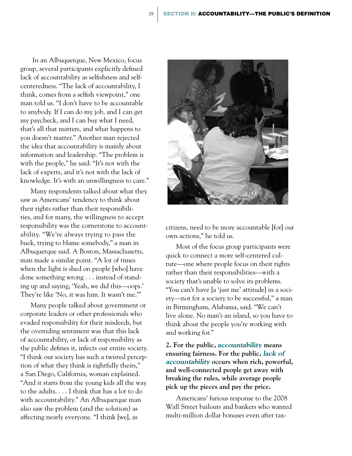In an Albuquerque, New Mexico, focus group, several participants explicitly defined lack of accountability as selfishness and selfcenteredness. "The lack of accountability, I think, comes from a selfish viewpoint," one man told us. "I don't have to be accountable to anybody. If I can do my job, and I can get my paycheck, and I can buy what I need, that's all that matters, and what happens to you doesn't matter." Another man rejected the idea that accountability is mainly about information and leadership. "The problem is with the people," he said: "It's not with the lack of experts, and it's not with the lack of knowledge. It's with an unwillingness to care."

Many respondents talked about what they saw as Americans' tendency to think about their rights rather than their responsibilities, and for many, the willingness to accept responsibility was the cornerstone to accountability. "We're always trying to pass the buck, trying to blame somebody," a man in Albuquerque said. A Boston, Massachusetts, man made a similar point. "A lot of times when the light is shed on people [who] have done something wrong . . . instead of standing up and saying, 'Yeah, we did this—oops.' They're like 'No, it was him. It wasn't me.'"

Many people talked about government or corporate leaders or other professionals who evaded responsibility for their misdeeds, but the overriding sentiment was that this lack of accountability, or lack of responsibility as the public defines it, infects our entire society. "I think our society has such a twisted perception of what they think is rightfully theirs," a San Diego, California, woman explained. "And it starts from the young kids all the way to the adults. . . . I think that has a lot to do with accountability." An Albuquerque man also saw the problem (and the solution) as affecting nearly everyone. "I think [we], as



citizens, need to be more accountable [for] our own actions," he told us.

Most of the focus group participants were quick to connect a more self-centered culture—one where people focus on their rights rather than their responsibilities—with a society that's unable to solve its problems. "You can't have [a 'just me' attitude] in a society—not for a society to be successful," a man in Birmingham, Alabama, said. "We can't live alone. No man's an island, so you have to think about the people you're working with and working for."

**2. For the public, accountability means ensuring fairness. For the public, lack of accountability occurs when rich, powerful, and well-connected people get away with breaking the rules, while average people pick up the pieces and pay the price.**

Americans' furious response to the 2008 Wall Street bailouts and bankers who wanted multi-million dollar bonuses even after tax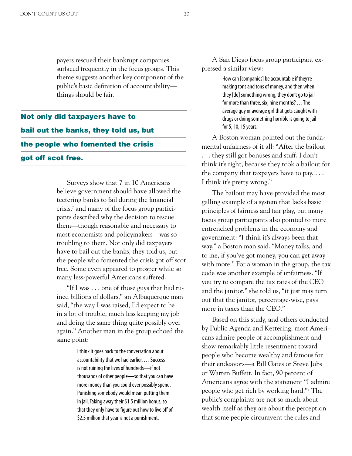payers rescued their bankrupt companies surfaced frequently in the focus groups. This theme suggests another key component of the public's basic definition of accountability things should be fair.

### Not only did taxpayers have to bail out the banks, they told us, but the people who fomented the crisis got off scot free.

Surveys show that 7 in 10 Americans believe government should have allowed the teetering banks to fail during the financial crisis,7 and many of the focus group participants described why the decision to rescue them—though reasonable and necessary to most economists and policymakers—was so troubling to them. Not only did taxpayers have to bail out the banks, they told us, but the people who fomented the crisis got off scot free. Some even appeared to prosper while so many less-powerful Americans suffered.

"If I was . . . one of those guys that had ruined billions of dollars," an Albuquerque man said, "the way I was raised, I'd expect to be in a lot of trouble, much less keeping my job and doing the same thing quite possibly over again." Another man in the group echoed the same point:

> I think it goes back to the conversation about accountability that we had earlier. . . . Success is not ruining the lives of hundreds—if not thousands of other people—so that you can have more money than you could ever possibly spend. Punishing somebody would mean putting them in jail. Taking away their \$1.5 million bonus, so that they only have to figure out how to live off of \$2.5 million that year is not a punishment.

A San Diego focus group participant expressed a similar view:

> How can [companies] be accountable if they're making tons and tons of money, and then when they [do] something wrong, they don't go to jail for more than three, six, nine months? . . . The average guy or average girl that gets caught with drugs or doing something horrible is going to jail for 5, 10, 15 years.

A Boston woman pointed out the fundamental unfairness of it all: "After the bailout . . . they still got bonuses and stuff. I don't think it's right, because they took a bailout for the company that taxpayers have to pay.  $\dots$ I think it's pretty wrong."

The bailout may have provided the most galling example of a system that lacks basic principles of fairness and fair play, but many focus group participants also pointed to more entrenched problems in the economy and government: "I think it's always been that way," a Boston man said. "Money talks, and to me, if you've got money, you can get away with more." For a woman in the group, the tax code was another example of unfairness. "If you try to compare the tax rates of the CEO and the janitor," she told us, "it just may turn out that the janitor, percentage-wise, pays more in taxes than the CEO."

Based on this study, and others conducted by Public Agenda and Kettering, most Americans admire people of accomplishment and show remarkably little resentment toward people who become wealthy and famous for their endeavors—a Bill Gates or Steve Jobs or Warren Buffett. In fact, 90 percent of Americans agree with the statement "I admire people who get rich by working hard."8 The public's complaints are not so much about wealth itself as they are about the perception that some people circumvent the rules and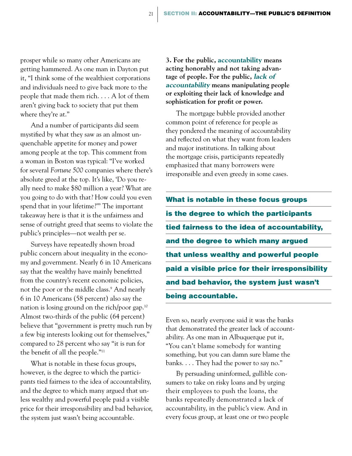prosper while so many other Americans are getting hammered. As one man in Dayton put it, "I think some of the wealthiest corporations and individuals need to give back more to the people that made them rich. . . . A lot of them aren't giving back to society that put them where they're at."

And a number of participants did seem mystified by what they saw as an almost unquenchable appetite for money and power among people at the top. This comment from a woman in Boston was typical: "I've worked for several *Fortune 500* companies where there's absolute greed at the top. It's like, 'Do you really need to make \$80 million a year? What are you going to do with that? How could you even spend that in your lifetime?'" The important takeaway here is that it is the unfairness and sense of outright greed that seems to violate the public's principles—not wealth per se.

Surveys have repeatedly shown broad public concern about inequality in the economy and government. Nearly 6 in 10 Americans say that the wealthy have mainly benefitted from the country's recent economic policies, not the poor or the middle class.9 And nearly 6 in 10 Americans (58 percent) also say the nation is losing ground on the rich/poor gap.10 Almost two-thirds of the public (64 percent) believe that "government is pretty much run by a few big interests looking out for themselves," compared to 28 percent who say "it is run for the benefit of all the people."11

What is notable in these focus groups, however, is the degree to which the participants tied fairness to the idea of accountability, and the degree to which many argued that unless wealthy and powerful people paid a visible price for their irresponsibility and bad behavior, the system just wasn't being accountable.

**3. For the public, accountability means acting honorably and not taking advantage of people. For the public, lack of accountability means manipulating people or exploiting their lack of knowledge and sophistication for profit or power.**

The mortgage bubble provided another common point of reference for people as they pondered the meaning of accountability and reflected on what they want from leaders and major institutions. In talking about the mortgage crisis, participants repeatedly emphasized that many borrowers were irresponsible and even greedy in some cases.

What is notable in these focus groups is the degree to which the participants tied fairness to the idea of accountability, and the degree to which many argued that unless wealthy and powerful people paid a visible price for their irresponsibility and bad behavior, the system just wasn't being accountable.

Even so, nearly everyone said it was the banks that demonstrated the greater lack of accountability. As one man in Albuquerque put it, "You can't blame somebody for wanting something, but you can damn sure blame the banks. . . . They had the power to say no."

By persuading uninformed, gullible consumers to take on risky loans and by urging their employees to push the loans, the banks repeatedly demonstrated a lack of accountability, in the public's view. And in every focus group, at least one or two people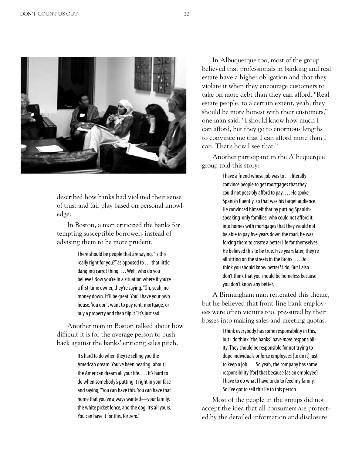

described how banks had violated their sense of trust and fair play based on personal knowledge.

In Boston, a man criticized the banks for tempting susceptible borrowers instead of advising them to be more prudent.

> There should be people that are saying, "Is this really right for you?" as opposed to . . . that little dangling carrot thing. . . . Well, who do you believe? Now you're in a situation where if you're a first-time owner, they're saying, "Oh, yeah, no money down. It'll be great. You'll have your own house. You don't want to pay rent, mortgage, or buy a property and then flip it." It's just sad.

Another man in Boston talked about how difficult it is for the average person to push back against the banks' enticing sales pitch.

> It's hard to do when they're selling you the American dream. You've been hearing [about] the American dream all your life. . . . It's hard to do when somebody's putting it right in your face and saying, "You can have this. You can have that home that you've always wanted—your family, the white picket fence, and the dog. It's all yours. You can have it for this, for zero."

In Albuquerque too, most of the group believed that professionals in banking and real estate have a higher obligation and that they violate it when they encourage customers to take on more debt than they can afford. "Real estate people, to a certain extent, yeah, they should be more honest with their customers," one man said. "I should know how much I can afford, but they go to enormous lengths to convince me that I can afford more than I can. That's how I see that."

Another participant in the Albuquerque group told this story:

> I have a friend whose job was to . . . literally convince people to get mortgages that they could not possibly afford to pay. . . . He spoke Spanish fluently, so that was his target audience. He convinced himself that by putting Spanishspeaking-only families, who could not afford it, into homes with mortgages that they would not be able to pay five years down the road, he was forcing them to create a better life for themselves. He believed this to be true. Five years later, they're all sitting on the streets in the Bronx. . . . Do I think you should know better? I do. But I also don't think that you should be homeless because you don't know any better.

A Birmingham man reiterated this theme, but he believed that front-line bank employees were often victims too, pressured by their bosses into making sales and meeting quotas.

> I think everybody has some responsibility in this, but I do think [the banks] have *more* responsibility. They should be responsible for not trying to dupe individuals or force employees [to do it] just to keep a job. . . . So yeah, the company has some responsibility [for] that because [as an employee] I have to do what I have to do to feed my family. So I've got to sell this lie to this person.

Most of the people in the groups did not accept the idea that all consumers are protected by the detailed information and disclosure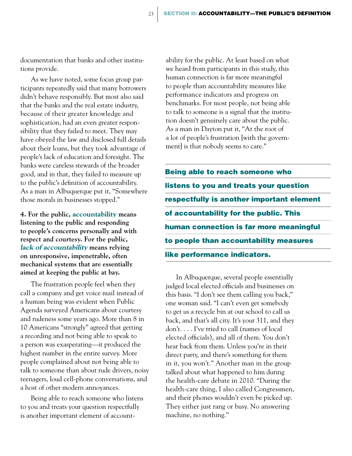documentation that banks and other institutions provide.

As we have noted, some focus group participants repeatedly said that many borrowers didn't behave responsibly. But most also said that the banks and the real estate industry, because of their greater knowledge and sophistication, had an even greater responsibility that they failed to meet. They may have obeyed the law and disclosed full details about their loans, but they took advantage of people's lack of education and foresight. The banks were careless stewards of the broader good, and in that, they failed to measure up to the public's definition of accountability. As a man in Albuquerque put it, "Somewhere those morals in businesses stopped."

**4. For the public, accountability means listening to the public and responding to people's concerns personally and with respect and courtesy. For the public, lack of accountability means relying on unresponsive, impenetrable, often mechanical systems that are essentially aimed at keeping the public at bay.**

The frustration people feel when they call a company and get voice mail instead of a human being was evident when Public Agenda surveyed Americans about courtesy and rudeness some years ago. More than 8 in 10 Americans "strongly" agreed that getting a recording and not being able to speak to a person was exasperating—it produced the highest number in the entire survey. More people complained about not being able to talk to someone than about rude drivers, noisy teenagers, loud cell-phone conversations, and a host of other modern annoyances.

Being able to reach someone who listens to you and treats your question respectfully is another important element of accountability for the public. At least based on what we heard from participants in this study, this human connection is far more meaningful to people than accountability measures like performance indicators and progress on benchmarks. For most people, not being able to talk to someone is a signal that the institution doesn't genuinely care about the public. As a man in Dayton put it, "At the root of a lot of people's frustration [with the government] is that nobody seems to care."

Being able to reach someone who listens to you and treats your question respectfully is another important element of accountability for the public. This human connection is far more meaningful to people than accountability measures like performance indicators.

In Albuquerque, several people essentially judged local elected officials and businesses on this basis. "I don't see them calling you back," one woman said. "I can't even get somebody to get us a recycle bin at our school to call us back, and that's all city. It's your 311, and they don't. . . . I've tried to call (names of local elected officials), and all of them. You don't hear back from them. Unless you're in their direct party, and there's something for them in it, you won't." Another man in the group talked about what happened to him during the health-care debate in 2010. "During the health-care thing, I also called Congressmen, and their phones wouldn't even be picked up. They either just rang or busy. No answering machine, no nothing."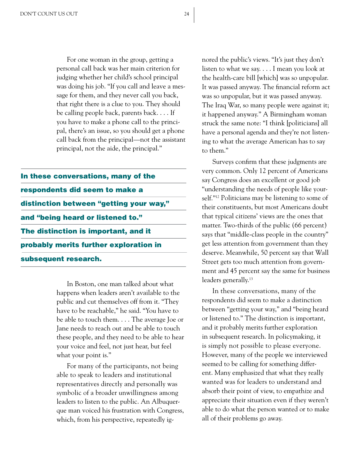For one woman in the group, getting a personal call back was her main criterion for judging whether her child's school principal was doing his job. "If you call and leave a message for them, and they never call you back, that right there is a clue to you. They should be calling people back, parents back. . . . If you have to make a phone call to the principal, there's an issue, so you should get a phone call back from the principal—not the assistant principal, not the aide, the principal."

| In these conversations, many of the     |  |  |  |  |
|-----------------------------------------|--|--|--|--|
| respondents did seem to make a          |  |  |  |  |
| distinction between "getting your way," |  |  |  |  |
| and "being heard or listened to."       |  |  |  |  |
| The distinction is important, and it    |  |  |  |  |
| probably merits further exploration in  |  |  |  |  |
| subsequent research.                    |  |  |  |  |

In Boston, one man talked about what happens when leaders aren't available to the public and cut themselves off from it. "They have to be reachable," he said. "You have to be able to touch them. . . . The average Joe or Jane needs to reach out and be able to touch these people, and they need to be able to hear your voice and feel, not just hear, but feel what your point is."

For many of the participants, not being able to speak to leaders and institutional representatives directly and personally was symbolic of a broader unwillingness among leaders to listen to the public. An Albuquerque man voiced his frustration with Congress, which, from his perspective, repeatedly ignored the public's views. "It's just they don't listen to what we say. . . . I mean you look at the health-care bill [which] was so unpopular. It was passed anyway. The financial reform act was so unpopular, but it was passed anyway. The Iraq War, so many people were against it; it happened anyway." A Birmingham woman struck the same note: "I think [politicians] all have a personal agenda and they're not listening to what the average American has to say to them."

Surveys confirm that these judgments are very common. Only 12 percent of Americans say Congress does an excellent or good job "understanding the needs of people like yourself."12 Politicians may be listening to some of their constituents, but most Americans doubt that typical citizens' views are the ones that matter. Two-thirds of the public (66 percent) says that "middle-class people in the country" get less attention from government than they deserve. Meanwhile, 50 percent say that Wall Street gets too much attention from government and 45 percent say the same for business leaders generally.<sup>13</sup>

In these conversations, many of the respondents did seem to make a distinction between "getting your way," and "being heard or listened to." The distinction is important, and it probably merits further exploration in subsequent research. In policymaking, it is simply not possible to please everyone. However, many of the people we interviewed seemed to be calling for something different. Many emphasized that what they really wanted was for leaders to understand and absorb their point of view, to empathize and appreciate their situation even if they weren't able to do what the person wanted or to make all of their problems go away.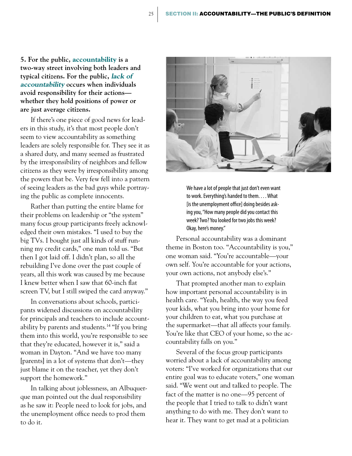**5. For the public, accountability is a two-way street involving both leaders and typical citizens. For the public, lack of accountability occurs when individuals avoid responsibility for their actions whether they hold positions of power or are just average citizens.** 

If there's one piece of good news for leaders in this study, it's that most people don't seem to view accountability as something leaders are solely responsible for. They see it as a shared duty, and many seemed as frustrated by the irresponsibility of neighbors and fellow citizens as they were by irresponsibility among the powers that be. Very few fell into a pattern of seeing leaders as the bad guys while portraying the public as complete innocents.

Rather than putting the entire blame for their problems on leadership or "the system" many focus group participants freely acknowledged their own mistakes. "I used to buy the big TVs. I bought just all kinds of stuff running my credit cards," one man told us. "But then I got laid off. I didn't plan, so all the rebuilding I've done over the past couple of years, all this work was caused by me because I knew better when I saw that 60-inch flat screen TV, but I still swiped the card anyway."

In conversations about schools, participants widened discussions on accountability for principals and teachers to include accountability by parents and students.14 "If you bring them into this world, you're responsible to see that they're educated, however it is," said a woman in Dayton. "And we have too many [parents] in a lot of systems that don't—they just blame it on the teacher, yet they don't support the homework."

In talking about joblessness, an Albuquerque man pointed out the dual responsibility as he saw it: People need to look for jobs, and the unemployment office needs to prod them to do it.



We have a lot of people that just don't even want to work. Everything's handed to them. . . . What [is the unemployment office] doing besides asking you, "How many people did you contact this week? Two? You looked for two jobs this week? Okay, here's money."

Personal accountability was a dominant theme in Boston too. "Accountability is you," one woman said. "You're accountable—your own self. You're accountable for your actions, your own actions, not anybody else's."

That prompted another man to explain how important personal accountability is in health care. "Yeah, health, the way you feed your kids, what you bring into your home for your children to eat, what you purchase at the supermarket—that all affects your family. You're like that CEO of your home, so the accountability falls on you."

Several of the focus group participants worried about a lack of accountability among voters: "I've worked for organizations that our entire goal was to educate voters," one woman said. "We went out and talked to people. The fact of the matter is no one—95 percent of the people that I tried to talk to didn't want anything to do with me. They don't want to hear it. They want to get mad at a politician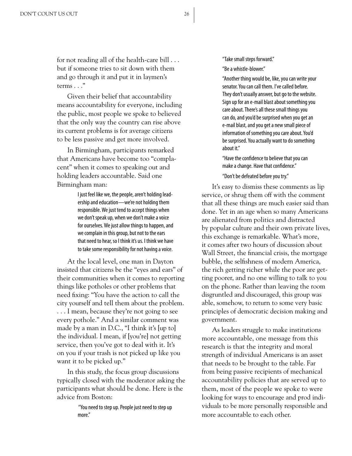Given their belief that accountability means accountability for everyone, including the public, most people we spoke to believed that the only way the country can rise above its current problems is for average citizens to be less passive and get more involved.

In Birmingham, participants remarked that Americans have become too "complacent" when it comes to speaking out and holding leaders accountable. Said one Birmingham man:

> I just feel like we, the people, aren't holding leadership and education—we're not holding them responsible. We just tend to accept things when we don't speak up, when we don't make a voice for ourselves. We just allow things to happen, and we complain in this group, but not to the ears that need to hear, so I think it's us. I think we have to take some responsibility for not having a voice.

At the local level, one man in Dayton insisted that citizens be the "eyes and ears" of their communities when it comes to reporting things like potholes or other problems that need fixing: "You have the action to call the city yourself and tell them about the problem. . . . I mean, because they're not going to see every pothole." And a similar comment was made by a man in D.C., "I think it's [up to] the individual. I mean, if [you're] not getting service, then you've got to deal with it. It's on you if your trash is not picked up like you want it to be picked up."

In this study, the focus group discussions typically closed with the moderator asking the participants what should be done. Here is the advice from Boston:

> "You need to step up. People just need to step up more."

"Take small steps forward."

"Be a whistle-blower."

"Another thing would be, like, you can write your senator. You can call them. I've called before. They don't usually answer, but go to the website. Sign up for an e-mail blast about something you care about. There's all these small things you can do, and you'd be surprised when you get an e-mail blast, and you get a new small piece of information of something you care about. You'd be surprised. You actually want to do something about it."

"Have the confidence to believe that you can make a change. Have that confidence."

"Don't be defeated before you try."

It's easy to dismiss these comments as lip service, or shrug them off with the comment that all these things are much easier said than done. Yet in an age when so many Americans are alienated from politics and distracted by popular culture and their own private lives, this exchange is remarkable. What's more, it comes after two hours of discussion about Wall Street, the financial crisis, the mortgage bubble, the selfishness of modern America, the rich getting richer while the poor are getting poorer, and no one willing to talk to you on the phone. Rather than leaving the room disgruntled and discouraged, this group was able, somehow, to return to some very basic principles of democratic decision making and government.

As leaders struggle to make institutions more accountable, one message from this research is that the integrity and moral strength of individual Americans is an asset that needs to be brought to the table. Far from being passive recipients of mechanical accountability policies that are served up to them, most of the people we spoke to were looking for ways to encourage and prod individuals to be more personally responsible and more accountable to each other.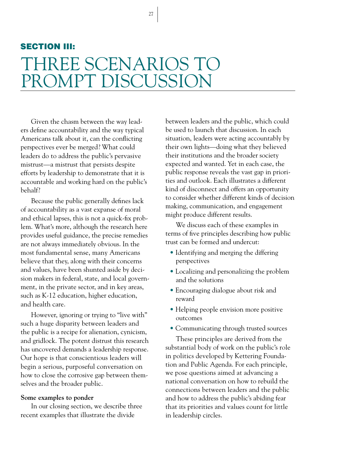27

## SECTION III: THREE SCENARIOS TO PROMPT DISCUSSION

Given the chasm between the way leaders define accountability and the way typical Americans talk about it, can the conflicting perspectives ever be merged? What could leaders do to address the public's pervasive mistrust—a mistrust that persists despite efforts by leadership to demonstrate that it is accountable and working hard on the public's behalf?

Because the public generally defines lack of accountability as a vast expanse of moral and ethical lapses, this is not a quick-fix problem. What's more, although the research here provides useful guidance, the precise remedies are not always immediately obvious. In the most fundamental sense, many Americans believe that they, along with their concerns and values, have been shunted aside by decision makers in federal, state, and local government, in the private sector, and in key areas, such as K-12 education, higher education, and health care.

However, ignoring or trying to "live with" such a huge disparity between leaders and the public is a recipe for alienation, cynicism, and gridlock. The potent distrust this research has uncovered demands a leadership response. Our hope is that conscientious leaders will begin a serious, purposeful conversation on how to close the corrosive gap between themselves and the broader public.

#### **Some examples to ponder**

In our closing section, we describe three recent examples that illustrate the divide

between leaders and the public, which could be used to launch that discussion. In each situation, leaders were acting accountably by their own lights—doing what they believed their institutions and the broader society expected and wanted. Yet in each case, the public response reveals the vast gap in priorities and outlook. Each illustrates a different kind of disconnect and offers an opportunity to consider whether different kinds of decision making, communication, and engagement might produce different results.

We discuss each of these examples in terms of five principles describing how public trust can be formed and undercut:

- Identifying and merging the differing perspectives
- Localizing and personalizing the problem and the solutions
- Encouraging dialogue about risk and reward
- Helping people envision more positive outcomes
- Communicating through trusted sources

These principles are derived from the substantial body of work on the public's role in politics developed by Kettering Foundation and Public Agenda. For each principle, we pose questions aimed at advancing a national conversation on how to rebuild the connections between leaders and the public and how to address the public's abiding fear that its priorities and values count for little in leadership circles.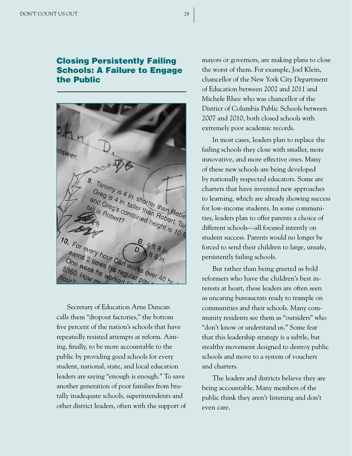#### Closing Persistently Failing Schools: A Failure to Engage the Public



Secretary of Education Arne Duncan calls them "dropout factories," the bottom five percent of the nation's schools that have repeatedly resisted attempts at reform. Aiming, finally, to be more accountable to the public by providing good schools for every student, national, state, and local education leaders are saying "enough is enough." To save another generation of poor families from brutally inadequate schools, superintendents and other district leaders, often with the support of mayors or governors, are making plans to close the worst of them. For example, Joel Klein, chancellor of the New York City Department of Education between 2002 and 2011 and Michele Rhee who was chancellor of the District of Columbia Public Schools between 2007 and 2010, both closed schools with extremely poor academic records.

In most cases, leaders plan to replace the failing schools they close with smaller, more innovative, and more effective ones. Many of these new schools are being developed by nationally respected educators. Some are charters that have invented new approaches to learning, which are already showing success for low-income students. In some communities, leaders plan to offer parents a choice of different schools—all focused intently on student success. Parents would no longer be forced to send their children to large, unsafe, persistently failing schools.

But rather than being greeted as bold reformers who have the children's best interests at heart, these leaders are often seen as uncaring bureaucrats ready to trample on communities and their schools. Many community residents see them as "outsiders" who "don't know or understand us." Some fear that this leadership strategy is a subtle, but stealthy movement designed to destroy public schools and move to a system of vouchers and charters.

The leaders and districts believe they are being accountable. Many members of the public think they aren't listening and don't even care.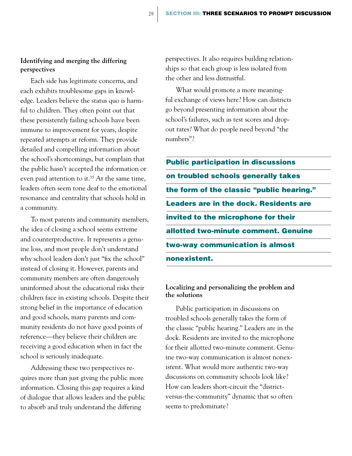#### **Identifying and merging the differing perspectives**

Each side has legitimate concerns, and each exhibits troublesome gaps in knowledge. Leaders believe the status quo is harmful to children. They often point out that these persistently failing schools have been immune to improvement for years, despite repeated attempts at reform. They provide detailed and compelling information about the school's shortcomings, but complain that the public hasn't accepted the information or even paid attention to it.<sup>15</sup> At the same time, leaders often seem tone deaf to the emotional resonance and centrality that schools hold in a community.

To most parents and community members, the idea of closing a school seems extreme and counterproductive. It represents a genuine loss, and most people don't understand why school leaders don't just "fix the school" instead of closing it. However, parents and community members are often dangerously uninformed about the educational risks their children face in existing schools. Despite their strong belief in the importance of education and good schools, many parents and community residents do not have good points of reference—they believe their children are receiving a good education when in fact the school is seriously inadequate.

Addressing these two perspectives requires more than just giving the public more information. Closing this gap requires a kind of dialogue that allows leaders and the public to absorb and truly understand the differing

perspectives. It also requires building relationships so that each group is less isolated from the other and less distrustful.

What would promote a more meaningful exchange of views here? How can districts go beyond presenting information about the school's failures, such as test scores and dropout rates? What do people need beyond "the numbers"?

Public participation in discussions on troubled schools generally takes the form of the classic "public hearing." Leaders are in the dock. Residents are invited to the microphone for their allotted two-minute comment. Genuine two-way communication is almost nonexistent.

#### **Localizing and personalizing the problem and the solutions**

Public participation in discussions on troubled schools generally takes the form of the classic "public hearing." Leaders are in the dock. Residents are invited to the microphone for their allotted two-minute comment. Genuine two-way communication is almost nonexistent. What would more authentic two-way discussions on community schools look like? How can leaders short-circuit the "districtversus-the-community" dynamic that so often seems to predominate?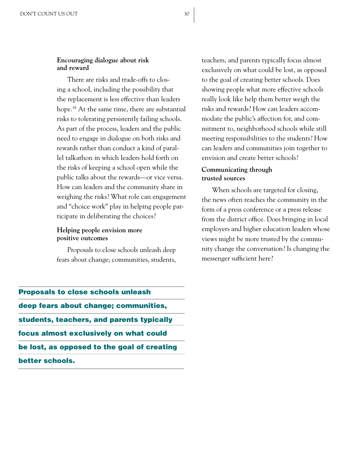#### **Encouraging dialogue about risk and reward**

There are risks and trade-offs to closing a school, including the possibility that the replacement is less effective than leaders hope.16 At the same time, there are substantial risks to tolerating persistently failing schools. As part of the process, leaders and the public need to engage in dialogue on both risks and rewards rather than conduct a kind of parallel talkathon in which leaders hold forth on the risks of keeping a school open while the public talks about the rewards—or vice versa. How can leaders and the community share in weighing the risks? What role can engagement and "choice work" play in helping people participate in deliberating the choices?

#### **Helping people envision more positive outcomes**

Proposals to close schools unleash deep fears about change; communities, students,

teachers, and parents typically focus almost exclusively on what could be lost, as opposed to the goal of creating better schools. Does showing people what more effective schools really look like help them better weigh the risks and rewards? How can leaders accommodate the public's affection for, and commitment to, neighborhood schools while still meeting responsibilities to the students? How can leaders and communities join together to envision and create better schools?

#### **Communicating through trusted sources**

When schools are targeted for closing, the news often reaches the community in the form of a press conference or a press release from the district office. Does bringing in local employers and higher education leaders whose views might be more trusted by the community change the conversation? Is changing the messenger sufficient here?

deep fears about change; communities, students, teachers, and parents typically focus almost exclusively on what could be lost, as opposed to the goal of creating better schools.

Proposals to close schools unleash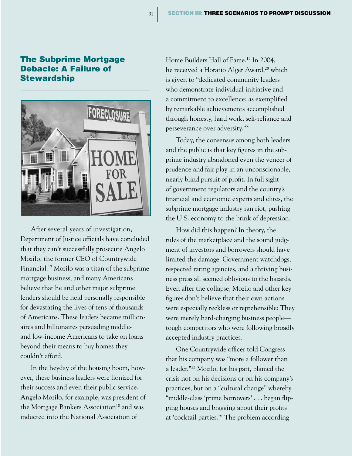#### The Subprime Mortgage Debacle: A Failure of **Stewardship**



After several years of investigation, Department of Justice officials have concluded that they can't successfully prosecute Angelo Mozilo, the former CEO of Countrywide Financial.17 Mozilo was a titan of the subprime mortgage business, and many Americans believe that he and other major subprime lenders should be held personally responsible for devastating the lives of tens of thousands of Americans. These leaders became millionaires and billionaires persuading middleand low-income Americans to take on loans beyond their means to buy homes they couldn't afford.

In the heyday of the housing boom, however, these business leaders were lionized for their success and even their public service. Angelo Mozilo, for example, was president of the Mortgage Bankers Association<sup>18</sup> and was inducted into the National Association of

Home Builders Hall of Fame.19 In 2004, he received a Horatio Alger Award,<sup>20</sup> which is given to "dedicated community leaders who demonstrate individual initiative and a commitment to excellence; as exemplified by remarkable achievements accomplished through honesty, hard work, self-reliance and perseverance over adversity."<sup>21</sup>

Today, the consensus among both leaders and the public is that key figures in the subprime industry abandoned even the veneer of prudence and fair play in an unconscionable, nearly blind pursuit of profit. In full sight of government regulators and the country's financial and economic experts and elites, the subprime mortgage industry ran riot, pushing the U.S. economy to the brink of depression.

How did this happen? In theory, the rules of the marketplace and the sound judgment of investors and borrowers should have limited the damage. Government watchdogs, respected rating agencies, and a thriving business press all seemed oblivious to the hazards. Even after the collapse, Mozilo and other key figures don't believe that their own actions were especially reckless or reprehensible: They were merely hard-charging business people tough competitors who were following broadly accepted industry practices.

One Countrywide officer told Congress that his company was "more a follower than a leader."22 Mozilo, for his part, blamed the crisis not on his decisions or on his company's practices, but on a "cultural change" whereby "middle-class 'prime borrowers' . . . began flipping houses and bragging about their profits at 'cocktail parties.'" The problem according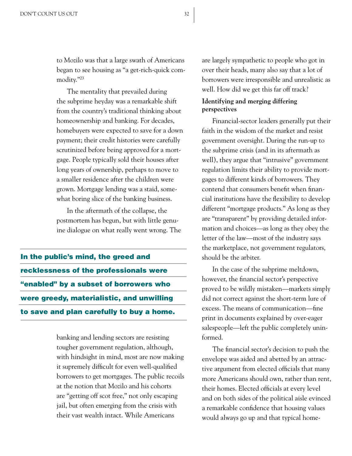to Mozilo was that a large swath of Americans began to see housing as "a get-rich-quick commodity."<sup>23</sup>

The mentality that prevailed during the subprime heyday was a remarkable shift from the country's traditional thinking about homeownership and banking. For decades, homebuyers were expected to save for a down payment; their credit histories were carefully scrutinized before being approved for a mortgage. People typically sold their houses after long years of ownership, perhaps to move to a smaller residence after the children were grown. Mortgage lending was a staid, somewhat boring slice of the banking business.

In the aftermath of the collapse, the postmortem has begun, but with little genuine dialogue on what really went wrong. The

In the public's mind, the greed and recklessness of the professionals were "enabled" by a subset of borrowers who were greedy, materialistic, and unwilling to save and plan carefully to buy a home.

> banking and lending sectors are resisting tougher government regulation, although, with hindsight in mind, most are now making it supremely difficult for even well-qualified borrowers to get mortgages. The public recoils at the notion that Mozilo and his cohorts are "getting off scot free," not only escaping jail, but often emerging from the crisis with their vast wealth intact. While Americans

are largely sympathetic to people who got in over their heads, many also say that a lot of borrowers were irresponsible and unrealistic as well. How did we get this far off track?

#### **Identifying and merging differing perspectives**

Financial-sector leaders generally put their faith in the wisdom of the market and resist government oversight. During the run-up to the subprime crisis (and in its aftermath as well), they argue that "intrusive" government regulation limits their ability to provide mortgages to different kinds of borrowers. They contend that consumers benefit when financial institutions have the flexibility to develop different "mortgage products." As long as they are "transparent" by providing detailed information and choices—as long as they obey the letter of the law—most of the industry says the marketplace, not government regulators, should be the arbiter.

In the case of the subprime meltdown, however, the financial sector's perspective proved to be wildly mistaken—markets simply did not correct against the short-term lure of excess. The means of communication—fine print in documents explained by over-eager salespeople—left the public completely uninformed.

The financial sector's decision to push the envelope was aided and abetted by an attractive argument from elected officials that many more Americans should own, rather than rent, their homes. Elected officials at every level and on both sides of the political aisle evinced a remarkable confidence that housing values would always go up and that typical home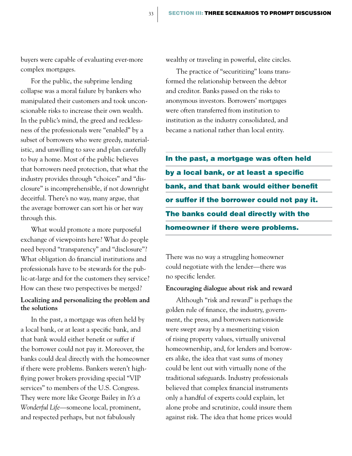buyers were capable of evaluating ever-more complex mortgages.

For the public, the subprime lending collapse was a moral failure by bankers who manipulated their customers and took unconscionable risks to increase their own wealth. In the public's mind, the greed and recklessness of the professionals were "enabled" by a subset of borrowers who were greedy, materialistic, and unwilling to save and plan carefully to buy a home. Most of the public believes that borrowers need protection, that what the industry provides through "choices" and "disclosure" is incomprehensible, if not downright deceitful. There's no way, many argue, that the average borrower can sort his or her way through this.

What would promote a more purposeful exchange of viewpoints here? What do people need beyond "transparency" and "disclosure"? What obligation do financial institutions and professionals have to be stewards for the public-at-large and for the customers they service? How can these two perspectives be merged?

#### **Localizing and personalizing the problem and the solutions**

In the past, a mortgage was often held by a local bank, or at least a specific bank, and that bank would either benefit or suffer if the borrower could not pay it. Moreover, the banks could deal directly with the homeowner if there were problems. Bankers weren't highflying power brokers providing special "VIP services" to members of the U.S. Congress. They were more like George Bailey in *It's a Wonderful Life*—someone local, prominent, and respected perhaps, but not fabulously

wealthy or traveling in powerful, elite circles.

The practice of "securitizing" loans transformed the relationship between the debtor and creditor. Banks passed on the risks to anonymous investors. Borrowers' mortgages were often transferred from institution to institution as the industry consolidated, and became a national rather than local entity.

In the past, a mortgage was often held by a local bank, or at least a specific bank, and that bank would either benefit or suffer if the borrower could not pay it. The banks could deal directly with the homeowner if there were problems.

There was no way a struggling homeowner could negotiate with the lender—there was no specific lender.

#### **Encouraging dialogue about risk and reward**

Although "risk and reward" is perhaps the golden rule of finance, the industry, government, the press, and borrowers nationwide were swept away by a mesmerizing vision of rising property values, virtually universal homeownership, and, for lenders and borrowers alike, the idea that vast sums of money could be lent out with virtually none of the traditional safeguards. Industry professionals believed that complex financial instruments only a handful of experts could explain, let alone probe and scrutinize, could insure them against risk. The idea that home prices would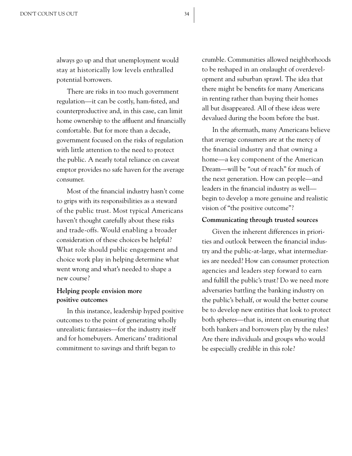always go up and that unemployment would stay at historically low levels enthralled potential borrowers.

There are risks in too much government regulation—it can be costly, ham-fisted, and counterproductive and, in this case, can limit home ownership to the affluent and financially comfortable. But for more than a decade, government focused on the risks of regulation with little attention to the need to protect the public. A nearly total reliance on caveat emptor provides no safe haven for the average consumer.

Most of the financial industry hasn't come to grips with its responsibilities as a steward of the public trust. Most typical Americans haven't thought carefully about these risks and trade-offs. Would enabling a broader consideration of these choices be helpful? What role should public engagement and choice work play in helping determine what went wrong and what's needed to shape a new course?

#### **Helping people envision more positive outcomes**

In this instance, leadership hyped positive outcomes to the point of generating wholly unrealistic fantasies—for the industry itself and for homebuyers. Americans' traditional commitment to savings and thrift began to

crumble. Communities allowed neighborhoods to be reshaped in an onslaught of overdevelopment and suburban sprawl. The idea that there might be benefits for many Americans in renting rather than buying their homes all but disappeared. All of these ideas were devalued during the boom before the bust.

In the aftermath, many Americans believe that average consumers are at the mercy of the financial industry and that owning a home—a key component of the American Dream—will be "out of reach" for much of the next generation. How can people—and leaders in the financial industry as well begin to develop a more genuine and realistic vision of "the positive outcome"?

#### **Communicating through trusted sources**

Given the inherent differences in priorities and outlook between the financial industry and the public-at-large, what intermediaries are needed? How can consumer protection agencies and leaders step forward to earn and fulfill the public's trust? Do we need more adversaries battling the banking industry on the public's behalf, or would the better course be to develop new entities that look to protect both spheres—that is, intent on ensuring that both bankers and borrowers play by the rules? Are there individuals and groups who would be especially credible in this role?

34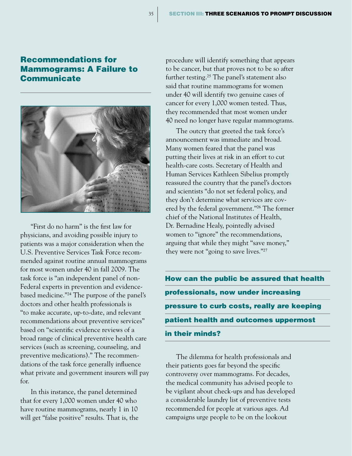#### Recommendations for Mammograms: A Failure to **Communicate**

35



"First do no harm" is the first law for physicians, and avoiding possible injury to patients was a major consideration when the U.S. Preventive Services Task Force recommended against routine annual mammograms for most women under 40 in fall 2009. The task force is "an independent panel of non-Federal experts in prevention and evidencebased medicine."24 The purpose of the panel's doctors and other health professionals is "to make accurate, up-to-date, and relevant recommendations about preventive services" based on "scientific evidence reviews of a broad range of clinical preventive health care services (such as screening, counseling, and preventive medications)." The recommendations of the task force generally influence what private and government insurers will pay for.

In this instance, the panel determined that for every 1,000 women under 40 who have routine mammograms, nearly 1 in 10 will get "false positive" results. That is, the procedure will identify something that appears to be cancer, but that proves not to be so after further testing.25 The panel's statement also said that routine mammograms for women under 40 will identify two genuine cases of cancer for every 1,000 women tested. Thus, they recommended that most women under 40 need no longer have regular mammograms.

The outcry that greeted the task force's announcement was immediate and broad. Many women feared that the panel was putting their lives at risk in an effort to cut health-care costs. Secretary of Health and Human Services Kathleen Sibelius promptly reassured the country that the panel's doctors and scientists "do not set federal policy, and they don't determine what services are covered by the federal government."26 The former chief of the National Institutes of Health, Dr. Bernadine Healy, pointedly advised women to "ignore" the recommendations, arguing that while they might "save money," they were not "going to save lives."<sup>27</sup>

How can the public be assured that health professionals, now under increasing pressure to curb costs, really are keeping patient health and outcomes uppermost in their minds?

The dilemma for health professionals and their patients goes far beyond the specific controversy over mammograms. For decades, the medical community has advised people to be vigilant about check-ups and has developed a considerable laundry list of preventive tests recommended for people at various ages. Ad campaigns urge people to be on the lookout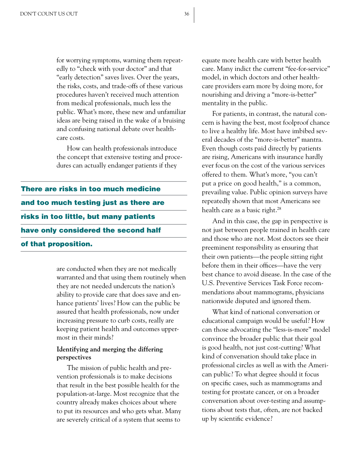for worrying symptoms, warning them repeatedly to "check with your doctor" and that "early detection" saves lives. Over the years, the risks, costs, and trade-offs of these various procedures haven't received much attention from medical professionals, much less the public. What's more, these new and unfamiliar ideas are being raised in the wake of a bruising and confusing national debate over healthcare costs.

How can health professionals introduce the concept that extensive testing and procedures can actually endanger patients if they

There are risks in too much medicine and too much testing just as there are risks in too little, but many patients have only considered the second half of that proposition.

> are conducted when they are not medically warranted and that using them routinely when they are not needed undercuts the nation's ability to provide care that does save and enhance patients' lives? How can the public be assured that health professionals, now under increasing pressure to curb costs, really are keeping patient health and outcomes uppermost in their minds?

#### **Identifying and merging the differing perspectives**

The mission of public health and prevention professionals is to make decisions that result in the best possible health for the population-at-large. Most recognize that the country already makes choices about where to put its resources and who gets what. Many are severely critical of a system that seems to

equate more health care with better health care. Many indict the current "fee-for-service" model, in which doctors and other healthcare providers earn more by doing more, for nourishing and driving a "more-is-better" mentality in the public.

For patients, in contrast, the natural concern is having the best, most foolproof chance to live a healthy life. Most have imbibed several decades of the "more-is-better" mantra. Even though costs paid directly by patients are rising, Americans with insurance hardly ever focus on the cost of the various services offered to them. What's more, "you can't put a price on good health," is a common, prevailing value. Public opinion surveys have repeatedly shown that most Americans see health care as a basic right.<sup>28</sup>

And in this case, the gap in perspective is not just between people trained in health care and those who are not. Most doctors see their preeminent responsibility as ensuring that their own patients—the people sitting right before them in their offices—have the very best chance to avoid disease. In the case of the U.S. Preventive Services Task Force recommendations about mammograms, physicians nationwide disputed and ignored them.

What kind of national conversation or educational campaign would be useful? How can those advocating the "less-is-more" model convince the broader public that their goal is good health, not just cost-cutting? What kind of conversation should take place in professional circles as well as with the American public? To what degree should it focus on specific cases, such as mammograms and testing for prostate cancer, or on a broader conversation about over-testing and assumptions about tests that, often, are not backed up by scientific evidence?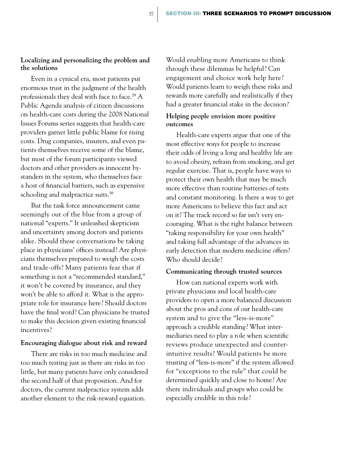#### **Localizing and personalizing the problem and the solutions**

Even in a cynical era, most patients put enormous trust in the judgment of the health professionals they deal with face to face.<sup>29</sup> A Public Agenda analysis of citizen discussions on health-care costs during the 2008 National Issues Forums series suggests that health-care providers garner little public blame for rising costs. Drug companies, insurers, and even patients themselves receive some of the blame, but most of the forum participants viewed doctors and other providers as innocent bystanders in the system, who themselves face a host of financial barriers, such as expensive schooling and malpractice suits.<sup>30</sup>

But the task force announcement came seemingly out of the blue from a group of national "experts." It unleashed skepticism and uncertainty among doctors and patients alike. Should these conversations be taking place in physicians' offices instead? Are physicians themselves prepared to weigh the costs and trade-offs? Many patients fear that if something is not a "recommended standard," it won't be covered by insurance, and they won't be able to afford it. What is the appropriate role for insurance here? Should doctors have the final word? Can physicians be trusted to make this decision given existing financial incentives?

#### **Encouraging dialogue about risk and reward**

There are risks in too much medicine and too much testing just as there are risks in too little, but many patients have only considered the second half of that proposition. And for doctors, the current malpractice system adds another element to the risk-reward equation.

Would enabling more Americans to think through these dilemmas be helpful? Can engagement and choice work help here? Would patients learn to weigh these risks and rewards more carefully and realistically if they had a greater financial stake in the decision?

#### **Helping people envision more positive outcomes**

Health-care experts argue that one of the most effective ways for people to increase their odds of living a long and healthy life are to avoid obesity, refrain from smoking, and get regular exercise. That is, people have ways to protect their own health that may be much more effective than routine batteries of tests and constant monitoring. Is there a way to get more Americans to believe this fact and act on it? The track record so far isn't very encouraging. What is the right balance between "taking responsibility for your own health" and taking full advantage of the advances in early detection that modern medicine offers? Who should decide?

#### **Communicating through trusted sources**

How can national experts work with private physicians and local health-care providers to open a more balanced discussion about the pros and cons of our health-care system and to give the "less-is-more" approach a credible standing? What intermediaries need to play a role when scientific reviews produce unexpected and counterintuitive results? Would patients be more trusting of "less-is-more" if the system allowed for "exceptions to the rule" that could be determined quickly and close to home? Are there individuals and groups who could be especially credible in this role?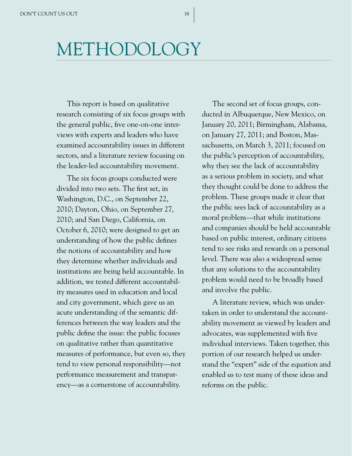# METHODOLOGY

This report is based on qualitative research consisting of six focus groups with the general public, five one-on-one interviews with experts and leaders who have examined accountability issues in different sectors, and a literature review focusing on the leader-led accountability movement.

The six focus groups conducted were divided into two sets. The first set, in Washington, D.C., on September 22, 2010; Dayton, Ohio, on September 27, 2010; and San Diego, California, on October 6, 2010; were designed to get an understanding of how the public defines the notions of accountability and how they determine whether individuals and institutions are being held accountable. In addition, we tested different accountability measures used in education and local and city government, which gave us an acute understanding of the semantic differences between the way leaders and the public define the issue: the public focuses on qualitative rather than quantitative measures of performance, but even so, they tend to view personal responsibility—not performance measurement and transparency—as a cornerstone of accountability.

The second set of focus groups, conducted in Albuquerque, New Mexico, on January 20, 2011; Birmingham, Alabama, on January 27, 2011; and Boston, Massachusetts, on March 3, 2011; focused on the public's perception of accountability, why they see the lack of accountability as a serious problem in society, and what they thought could be done to address the problem. These groups made it clear that the public sees lack of accountability as a moral problem—that while institutions and companies should be held accountable based on public interest, ordinary citizens tend to see risks and rewards on a personal level. There was also a widespread sense that any solutions to the accountability problem would need to be broadly based and involve the public.

A literature review, which was undertaken in order to understand the accountability movement as viewed by leaders and advocates, was supplemented with five individual interviews. Taken together, this portion of our research helped us understand the "expert" side of the equation and enabled us to test many of these ideas and reforms on the public.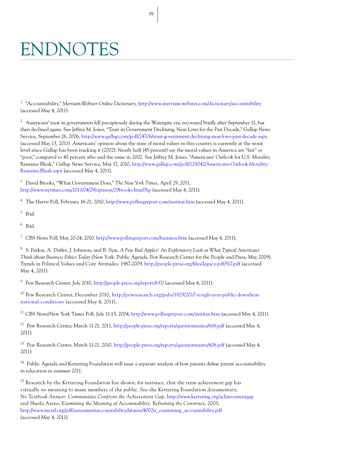# ENDNOTES

<sup>1</sup> "Accountability," *Merriam-Webster Online Dictionary,* http://www.merriam-webster.com/dictionary/accountability (accessed May 4, 2011).

<sup>2</sup> Americans' trust in governments fell precipitously during the Watergate era, recovered briefly after September 11, but then declined again. See Jeffrey M. Jones, "Trust in Government Declining, Near Lows for the Past Decade," Gallup News Service, September 26, 2006, http://www.gallup.com/poll/24706/trust-government-declining-near-lows-past-decade.aspx (accessed May 13, 2011). Americans' opinion about the state of moral values in this country is currently at the worst level since Gallup has been tracking it (2002). Nearly half (45 percent) say the moral values in America are "fair" or "poor," compared to 40 percent who said the same in 2002. See Jeffrey M. Jones, "Americans' Outlook for U.S. Morality Remains Bleak," Gallup News Service, May 17, 2010, http://www.gallup.com/poll/128042/Americans-Outlook-Morality-Remains-Bleak.aspx (accessed May 4, 2011).

<sup>3</sup> David Brooks, "What Government Does," *The New York Times,* April 29, 2011, http://www.nytimes.com/2011/04/29/opinion/29brooks.html?hp (accessed May 4, 2011).

<sup>4</sup> The Harris Poll, February 16-21, 2010, http://www.pollingreport.com/institut.htm (accessed May 4, 2011).

<sup>5</sup> Ibid.

<sup>6</sup> Ibid.

<sup>7</sup> CBS News Poll, May 20-24, 2010, http://www.pollingreport.com/business.htm (accessed May 4, 2011).

<sup>8</sup> S. Farkas, A. Duffet, J. Johnson, and B. Syat, *A Few Bad Apples? An Exploratory Look at What Typical Americans Think about Business Ethics Today* (New York: Public Agenda, Pew Research Center for the People and Press, May 2009). Trends in Political Values and Core Attitudes: 1987-2009, http://people-press.org/files/legacy-pdf/517.pdf (accessed May 4, 2011).

<sup>9</sup> Pew Research Center, July 2010, http://people-press.org/report/637/ (accessed May 4, 2011).

<sup>10</sup> Pew Research Center, December 2010, http://pewresearch.org/pubs/1829/2010-tough-year-public-downbeatnational-conditions (accessed May 4, 2011).

<sup>11</sup> CBS News/New York Times Poll, July 11-15, 2004, http://www.pollingreport.com/institut.htm (accessed May 4, 2011).

12 Pew Research Center, March 11-21, 2011, http://people-press.org/reports/questionnaires/606.pdf (accessed May 4, 2011).

13 Pew Research Center, March 11-21, 2010, http://people-press.org/reports/questionnaires/606.pdf (accessed May 4, 2011).

<sup>14</sup> Public Agenda and Kettering Foundation will issue a separate analysis of how parents define parent accountability in education in summer 2011.

<sup>15</sup> Research by the Kettering Foundation has shown, for instance, that the term *achievement gap* has virtually no meaning to many members of the public. See the Kettering Foundation documentary, *No Textbook Answer: Communities Confront the Achievement Gap,* http://www.kettering.org/achievementgap and Sheila Arens, *Examining the Meaning of Accountability: Reframing the Construct*, 2005, http://www.mcrel.org/pdf/assessmentaccountabilitydatause/4002ir\_examining\_accountability.pdf (accessed May 4, 2011).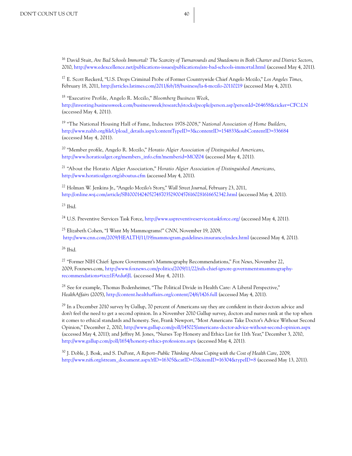<sup>16</sup> David Stuit, *Are Bad Schools Immortal? The Scarcity of Turnarounds and Shutdowns in Both Charter and District Sectors*, 2010, http://www.edexcellence.net/publications-issues/publications/are-bad-schools-immortal.html (accessed May 4, 2011).

<sup>17</sup> E. Scott Reckerd, "U.S. Drops Criminal Probe of Former Countrywide Chief Angelo Mozilo," *Los Angeles Times*, February 18, 2011, http://articles.latimes.com/2011/feb/18/business/la-fi-mozilo-20110219 (accessed May 4, 2011).

<sup>18</sup> "Executive Profile, Angelo R. Mozilo," *Bloomberg Business Week*, http://investing.businessweek.com/businessweek/research/stocks/people/person.asp?personId=264658&ticker=CFC:LN (accessed May 4, 2011).

<sup>19</sup> "The National Housing Hall of Fame, Inductees 1978-2008," *National Association of Home Builders*, http://www.nahb.org/fileUpload\_details.aspx?contentTypeID=3&contentID=154833&subContentID=336684 (accessed May 4, 2011).

<sup>20</sup> "Member profile, Angelo R. Mozilo," *Horatio Algier Association of Distinguished Americans*, http://www.horatioalger.org/members\_info.cfm?memberid=MOZ04 (accessed May 4, 2011).

<sup>21</sup> "About the Horatio Algier Association," *Horatio Algier Association of Distinguished Americans*, http://www.horatioalger.org/aboutus.cfm (accessed May 4, 2011).

<sup>22</sup> Holman W. Jenkins Jr., "Angelo Mozilo's Story," *Wall Street Journal*, February 23, 2011, http://online.wsj.com/article/SB10001424052748703529004576160281616652342.html (accessed May 4, 2011).

<sup>23</sup> Ibid.

<sup>24</sup> U.S. Preventive Services Task Force, http://www.uspreventiveservicestaskforce.org/ (accessed May 4, 2011).

<sup>25</sup> Elizabeth Cohen, "I Want My Mammograms!" *CNN*, November 19, 2009, http://www.cnn.com/2009/HEALTH/11/19/mammogram.guidelines.insurance/index.html (accessed May 4, 2011).

 $26$  Ibid.

<sup>27</sup> "Former NIH Chief: Ignore Government's Mammography Recommendations," *Fox News*, November 22, 2009, Foxnews.com, http://www.foxnews.com/politics/2009/11/22/nih-chief-ignore-governmentsmammographyrecommendations#ixzz1FAtdu6JL (accessed May 4, 2011).

<sup>28</sup> See for example, Thomas Bodenheimer, "The Political Divide in Health Care: A Liberal Perspective," *HealthAffairs* (2005), http://content.healthaffairs.org/content/24/6/1426.full (accessed May 4, 2011).

<sup>29</sup> In a December 2010 survey by Gallup, 70 percent of Americans say they are confident in their doctors advice and don't feel the need to get a second opinion. In a November 2010 Gallup survey, doctors and nurses rank at the top when it comes to ethical standards and honesty. See, Frank Newport, "Most Americans Take Doctor's Advice Without Second Opinion," December 2, 2010, http://www.gallup.com/poll/145025/americans-doctor-advice-without-second-opinion.aspx (accessed May 4, 2011); and Jeffrey M. Jones, "Nurses Top Honesty and Ethics List for 11th Year," December 3, 2010, http://www.gallup.com/poll/1654/honesty-ethics-professions.aspx (accessed May 4, 2011).

<sup>30</sup> J. Doble, J. Bosk, and S. DuPont, *A Report–Public Thinking About Coping with the Cost of Health Care*, 2009, http://www.nifi.org/stream\_document.aspx?rID=16305&catID=17&itemID=16304&typeID=8 (accessed May 13, 2011).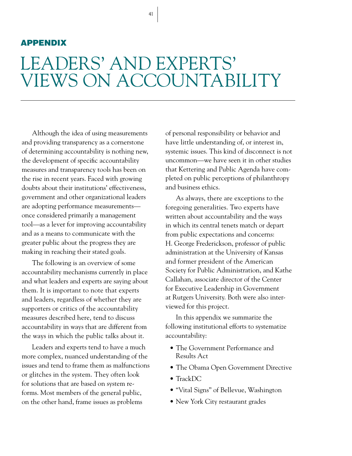#### APPENDIX

## LEADERS' AND EXPERTS' VIEWS ON ACCOUNTABILITY

Although the idea of using measurements and providing transparency as a cornerstone of determining accountability is nothing new, the development of specific accountability measures and transparency tools has been on the rise in recent years. Faced with growing doubts about their institutions' effectiveness, government and other organizational leaders are adopting performance measurements once considered primarily a management tool—as a lever for improving accountability and as a means to communicate with the greater public about the progress they are making in reaching their stated goals.

The following is an overview of some accountability mechanisms currently in place and what leaders and experts are saying about them. It is important to note that experts and leaders, regardless of whether they are supporters or critics of the accountability measures described here, tend to discuss accountability in ways that are different from the ways in which the public talks about it.

Leaders and experts tend to have a much more complex, nuanced understanding of the issues and tend to frame them as malfunctions or glitches in the system. They often look for solutions that are based on system reforms. Most members of the general public, on the other hand, frame issues as problems

of personal responsibility or behavior and have little understanding of, or interest in, systemic issues. This kind of disconnect is not uncommon—we have seen it in other studies that Kettering and Public Agenda have completed on public perceptions of philanthropy and business ethics.

As always, there are exceptions to the foregoing generalities. Two experts have written about accountability and the ways in which its central tenets match or depart from public expectations and concerns: H. George Frederickson, professor of public administration at the University of Kansas and former president of the American Society for Public Administration, and Kathe Callahan, associate director of the Center for Executive Leadership in Government at Rutgers University. Both were also interviewed for this project.

In this appendix we summarize the following institutional efforts to systematize accountability:

- The Government Performance and Results Act
- The Obama Open Government Directive
- TrackDC
- "Vital Signs" of Bellevue, Washington
- New York City restaurant grades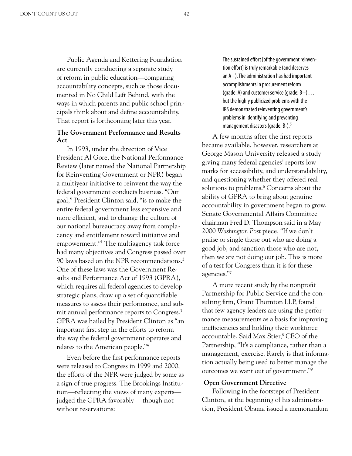Public Agenda and Kettering Foundation are currently conducting a separate study of reform in public education—comparing accountability concepts, such as those documented in No Child Left Behind, with the ways in which parents and public school principals think about and define accountability. That report is forthcoming later this year.

#### **The Government Performance and Results Act**

In 1993, under the direction of Vice President Al Gore, the National Performance Review (later named the National Partnership for Reinventing Government or NPR) began a multiyear initiative to reinvent the way the federal government conducts business. "Our goal," President Clinton said, "is to make the entire federal government less expensive and more efficient, and to change the culture of our national bureaucracy away from complacency and entitlement toward initiative and empowerment."1 The multiagency task force had many objectives and Congress passed over 90 laws based on the NPR recommendations.<sup>2</sup> One of these laws was the Government Results and Performance Act of 1993 (GPRA), which requires all federal agencies to develop strategic plans, draw up a set of quantifiable measures to assess their performance, and submit annual performance reports to Congress.<sup>3</sup> GPRA was hailed by President Clinton as "an important first step in the efforts to reform the way the federal government operates and relates to the American people."4

Even before the first performance reports were released to Congress in 1999 and 2000, the efforts of the NPR were judged by some as a sign of true progress. The Brookings Institution—reflecting the views of many experts judged the GPRA favorably —though not without reservations:

The sustained effort [of the government reinvention effort] is truly remarkable (and deserves an A+). The administration has had important accomplishments in procurement reform (grade: A) and customer service (grade:  $B+$ ) ... but the highly publicized problems with the IRS demonstrated reinventing government's problems in identifying and preventing management disasters (grade: B-).<sup>5</sup>

A few months after the first reports became available, however, researchers at George Mason University released a study giving many federal agencies' reports low marks for accessibility, and understandability, and questioning whether they offered real solutions to problems.<sup>6</sup> Concerns about the ability of GPRA to bring about genuine accountability in government began to grow. Senate Governmental Affairs Committee chairman Fred D. Thompson said in a May 2000 *Washington Post* piece, "If we don't praise or single those out who are doing a good job, and sanction those who are not, then we are not doing our job. This is more of a test for Congress than it is for these agencies."7

A more recent study by the nonprofit Partnership for Public Service and the consulting firm, Grant Thornton LLP, found that few agency leaders are using the performance measurements as a basis for improving inefficiencies and holding their workforce accountable. Said Max Stier,<sup>8</sup> CEO of the Partnership, "It's a compliance, rather than a management, exercise. Rarely is that information actually being used to better manage the outcomes we want out of government."9

#### **Open Government Directive**

Following in the footsteps of President Clinton, at the beginning of his administration, President Obama issued a memorandum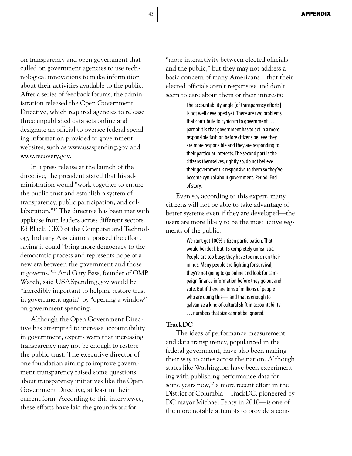on transparency and open government that called on government agencies to use technological innovations to make information about their activities available to the public. After a series of feedback forums, the administration released the Open Government Directive, which required agencies to release three unpublished data sets online and designate an official to oversee federal spending information provided to government websites, such as www.usaspending.gov and www.recovery.gov.

In a press release at the launch of the directive, the president stated that his administration would "work together to ensure the public trust and establish a system of transparency, public participation, and collaboration."10 The directive has been met with applause from leaders across different sectors. Ed Black, CEO of the Computer and Technology Industry Association, praised the effort, saying it could "bring more democracy to the democratic process and represents hope of a new era between the government and those it governs."11 And Gary Bass, founder of OMB Watch, said USASpending.gov would be "incredibly important to helping restore trust in government again" by "opening a window" on government spending.

Although the Open Government Directive has attempted to increase accountability in government, experts warn that increasing transparency may not be enough to restore the public trust. The executive director of one foundation aiming to improve government transparency raised some questions about transparency initiatives like the Open Government Directive, at least in their current form. According to this interviewee, these efforts have laid the groundwork for

"more interactivity between elected officials and the public," but they may not address a basic concern of many Americans—that their elected officials aren't responsive and don't seem to care about them or their interests:

> The accountability angle [of transparency efforts] is not well developed yet. There are two problems that contribute to cynicism to government . . . part of it is that government has to act in a more responsible fashion before citizens believe they are more responsible and they are responding to their particular interests. The second part is the citizens themselves, rightly so, do not believe their government is responsive to them so they've become cynical about government. Period. End of story.

Even so, according to this expert, many citizens will not be able to take advantage of better systems even if they are developed—the users are more likely to be the most active segments of the public.

> We can't get 100% citizen participation. That would be ideal, but it's completely unrealistic. People are too busy; they have too much on their minds. Many people are fighting for survival; they're not going to go online and look for campaign finance information before they go out and vote. But if there are tens of millions of people who are doing this— and that is enough to galvanize a kind of cultural shift in accountability . . . numbers that size cannot be ignored.

#### **TrackDC**

The ideas of performance measurement and data transparency, popularized in the federal government, have also been making their way to cities across the nation. Although states like Washington have been experimenting with publishing performance data for some years now, $^{12}$  a more recent effort in the District of Columbia—TrackDC, pioneered by DC mayor Michael Fenty in 2010—is one of the more notable attempts to provide a com-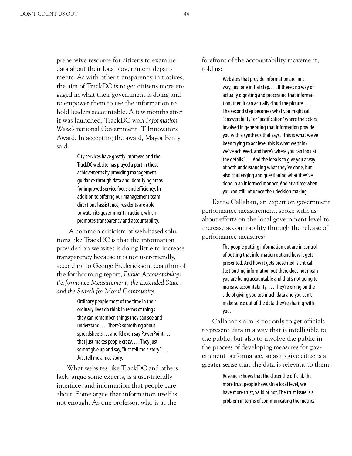prehensive resource for citizens to examine data about their local government departments. As with other transparency initiatives, the aim of TrackDC is to get citizens more engaged in what their government is doing and to empower them to use the information to hold leaders accountable. A few months after it was launched, TrackDC won *Information Week's* national Government IT Innovators Award. In accepting the award, Mayor Fenty said:

> City services have greatly improved and the TrackDC website has played a part in those achievements by providing management guidance through data and identifying areas for improved service focus and efficiency. In addition to offering our management team directional assistance, residents are able to watch its government in action, which promotes transparency and accountability.

 A common criticism of web-based solutions like TrackDC is that the information provided on websites is doing little to increase transparency because it is not user-friendly, according to George Frederickson, coauthor of the forthcoming report, *Public Accountability: Performance Measurement, the Extended State, and the Search for Moral Community*:

> Ordinary people most of the time in their ordinary lives do think in terms of things they can remember, things they can see and understand. . . . There's something about spreadsheets . . . and I'd even say PowerPoint . . . that just makes people crazy. . . . They just sort of give up and say, "Just tell me a story." . . . Just tell me a nice story.

What websites like TrackDC and others lack, argue some experts, is a user-friendly interface, and information that people care about. Some argue that information itself is not enough. As one professor, who is at the

forefront of the accountability movement, told us:

> Websites that provide information are, in a way, just one initial step. . . . If there's no way of actually digesting and processing that information, then it can actually cloud the picture. . . . The second step becomes what you might call "answerability" or "justification" where the actors involved in generating that information provide you with a synthesis that says, "This is what we've been trying to achieve, this is what we think we've achieved, and here's where you can look at the details." . . . And the idea is to give you a way of both understanding what they've done, but also challenging and questioning what they've done in an informed manner. And at a time when you can still influence their decision making.

Kathe Callahan, an expert on government performance measurement, spoke with us about efforts on the local government level to increase accountability through the release of performance measures:

> The people putting information out are in control of putting that information out and how it gets presented. And how it gets presented is critical. Just putting information out there does not mean you are being accountable and that's not going to increase accountability. . . . They're erring on the side of giving you too much data and you can't make sense out of the data they're sharing with you.

Callahan's aim is not only to get officials to present data in a way that is intelligible to the public, but also to involve the public in the process of developing measures for government performance, so as to give citizens a greater sense that the data is relevant to them:

> Research shows that the closer the official, the more trust people have. On a local level, we have more trust, valid or not. The trust issue is a problem in terms of communicating the metrics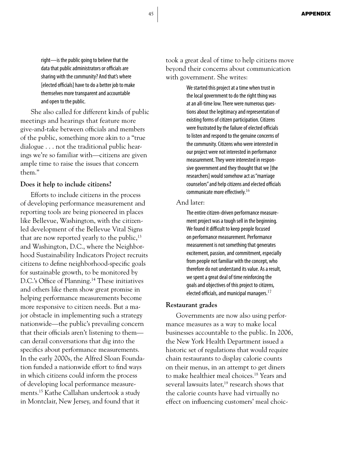right—is the public going to believe that the data that public administrators or officials are sharing with the community? And that's where [elected officials] have to do a better job to make themselves more transparent and accountable and open to the public.

She also called for different kinds of public meetings and hearings that feature more give-and-take between officials and members of the public, something more akin to a "true dialogue . . . not the traditional public hearings we're so familiar with—citizens are given ample time to raise the issues that concern them."

#### **Does it help to include citizens?**

Efforts to include citizens in the process of developing performance measurement and reporting tools are being pioneered in places like Bellevue, Washington, with the citizenled development of the Bellevue Vital Signs that are now reported yearly to the public,  $13$ and Washington, D.C., where the Neighborhood Sustainability Indicators Project recruits citizens to define neighborhood-specific goals for sustainable growth, to be monitored by D.C.'s Office of Planning.<sup>14</sup> These initiatives and others like them show great promise in helping performance measurements become more responsive to citizen needs. But a major obstacle in implementing such a strategy nationwide—the public's prevailing concern that their officials aren't listening to them can derail conversations that dig into the specifics about performance measurements. In the early 2000s, the Alfred Sloan Foundation funded a nationwide effort to find ways in which citizens could inform the process of developing local performance measurements.15 Kathe Callahan undertook a study in Montclair, New Jersey, and found that it

took a great deal of time to help citizens move beyond their concerns about communication with government. She writes:

> We started this project at a time when trust in the local government to do the right thing was at an all-time low. There were numerous questions about the legitimacy and representation of existing forms of citizen participation. Citizens were frustrated by the failure of elected officials to listen and respond to the genuine concerns of the community. Citizens who were interested in our project were not interested in performance measurement. They were interested in responsive government and they thought that we [the researchers] would somehow act as "marriage counselors" and help citizens and elected officials communicate more effectively.<sup>16</sup>

#### And later:

The entire citizen-driven performance measurement project was a tough sell in the beginning. We found it difficult to keep people focused on performance measurement. Performance measurement is not something that generates excitement, passion, and commitment, especially from people not familiar with the concept, who therefore do not understand its value. As a result, we spent a great deal of time reinforcing the goals and objectives of this project to citizens, elected officials, and municipal managers. $17$ 

#### **Restaurant grades**

Governments are now also using performance measures as a way to make local businesses accountable to the public. In 2006, the New York Health Department issued a historic set of regulations that would require chain restaurants to display calorie counts on their menus, in an attempt to get diners to make healthier meal choices.18 Years and several lawsuits later.<sup>19</sup> research shows that the calorie counts have had virtually no effect on influencing customers' meal choic-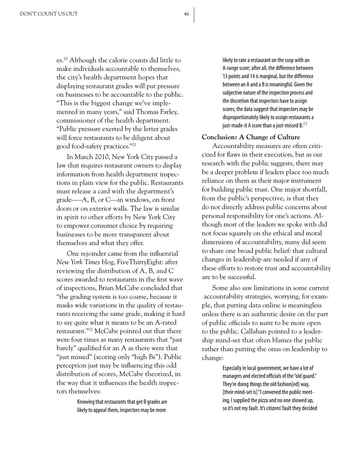es.20 Although the calorie counts did little to make individuals accountable to themselves, the city's health department hopes that displaying restaurant grades will put pressure on businesses to be accountable to the public. "This is the biggest change we've implemented in many years," said Thomas Farley, commissioner of the health department. "Public pressure exerted by the letter grades will force restaurants to be diligent about good food-safety practices."21

In March 2010, New York City passed a law that requires restaurant owners to display information from health department inspections in plain view for the public. Restaurants must release a card with the department's grade–—A, B, or C—in windows, on front doors or on exterior walls. The law is similar in spirit to other efforts by New York City to empower consumer choice by requiring businesses to be more transparent about themselves and what they offer.

One rejoinder came from the influential *New York Times* blog, FiveThirtyEight: after reviewing the distribution of A, B, and C scores awarded to restaurants in the first wave of inspections, Brian McCabe concluded that "the grading system is too coarse, because it masks wide variations in the quality of restaurants receiving the same grade, making it hard to say quite what it means to be an A-rated restaurant."22 McCabe pointed out that there were four times as many restaurants that "just barely" qualified for an A as there were that "just missed" (scoring only "high Bs"). Public perception just may be influencing this odd distribution of scores, McCabe theorized, in the way that it influences the health inspectors themselves:

> Knowing that restaurants that get B grades are likely to appeal them, inspectors may be more

likely to rate a restaurant on the cusp with an A-range score; after all, the difference between 13 points and 14 is marginal, but the difference between an A and a B is meaningful. Given the subjective nature of the inspection process and the discretion that inspectors have to assign scores, the data suggest that inspectors may be disproportionately likely to assign restaurants a just-made-it A score than a just-missed  $B^{23}$ 

#### **Conclusion: A Change of Culture**

Accountability measures are often criticized for flaws in their execution, but as our research with the public suggests, there may be a deeper problem if leaders place too much reliance on them as their major instrument for building public trust. One major shortfall, from the public's perspective, is that they do not directly address public concerns about personal responsibility for one's actions. Although most of the leaders we spoke with did not focus squarely on the ethical and moral dimensions of accountability, many did seem to share one broad public belief: that cultural changes in leadership are needed if any of these efforts to restore trust and accountability are to be successful.

Some also saw limitations in some current accountability strategies, worrying, for example, that putting data online is meaningless unless there is an authentic desire on the part of public officials to *want* to be more open to the public. Callahan pointed to a leadership mind-set that often blames the public rather than putting the onus on leadership to change:

> Especially in local government, we have a lot of managers and elected officials of the "old guard." They're doing things the old fashion[ed] way, [their mind-set is] "I convened the public meeting, I supplied the pizza and no one showed up, so it's not my fault. It's citizens' fault they decided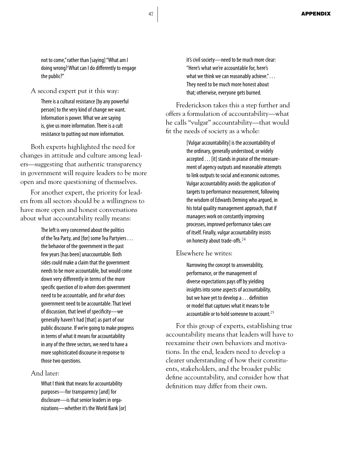not to come," rather than [saying] "What am I doing wrong? What can I do differently to engage the public?"

A second expert put it this way:

There is a cultural resistance [by any powerful person] to the very kind of change we want. Information is power. What we are saying is, give us more information. There is a cult resistance to putting out more information.

Both experts highlighted the need for changes in attitude and culture among leaders—suggesting that authentic transparency in government will require leaders to be more open and more questioning of themselves.

For another expert, the priority for leaders from all sectors should be a willingness to have more open and honest conversations about what accountability really means:

> The left is very concerned about the politics of the Tea Party, and [for] some Tea Partyiers . . . the behavior of the government in the past few years [has been] unaccountable. Both sides could make a claim that the government needs to be more accountable, but would come down very differently in terms of the more specific question of *to whom* does government need to be accountable, and *for what* does government need to be accountable. That level of discussion, that level of specificity—we generally haven't had [that] as part of our public discourse. If we're going to make progress in terms of what it means for accountability in any of the three sectors, we need to have a more sophisticated discourse in response to those two questions.

#### And later:

What I think that means for accountability purposes—for transparency [and] for disclosure—is that senior leaders in organizations—whether it's the World Bank [or] it's civil society—need to be much more clear: "Here's what we're accountable for, here's what we think we can reasonably achieve."... They need to be much more honest about that; otherwise, everyone gets burned.

Frederickson takes this a step further and offers a formulation of accountability—what he calls "vulgar" accountability—that would fit the needs of society as a whole:

> [Vulgar accountability] is the accountability of the ordinary, generally understood, or widely accepted . . . [it] stands in praise of the measurement of agency outputs and reasonable attempts to link outputs to social and economic outcomes. Vulgar accountability avoids the application of targets to performance measurement, following the wisdom of Edwards Deming who argued, in his total quality management approach, that if managers work on constantly improving processes, improved performance takes care of itself. Finally, vulgar accountability insists on honesty about trade-offs.<sup>24</sup>

#### Elsewhere he writes:

Narrowing the concept to answerability, performance, or the management of diverse expectations pays off by yielding insights into some aspects of accountability, but we have yet to develop a . . . definition or model that captures what it means to be accountable or to hold someone to account.<sup>25</sup>

For this group of experts, establishing true accountability means that leaders will have to reexamine their own behaviors and motivations. In the end, leaders need to develop a clearer understanding of how their constituents, stakeholders, and the broader public define accountability, and consider how that definition may differ from their own.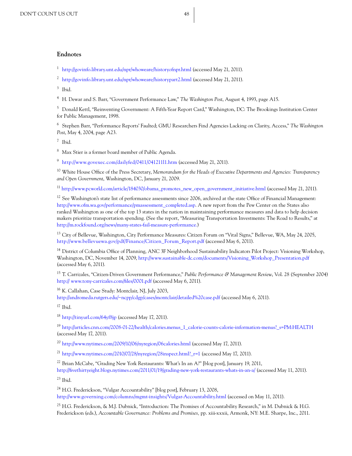#### **Endnotes**

<sup>1</sup> http://govinfo.library.unt.edu/npr/whoweare/historyofnpr.html (accessed May 21, 2011).

<sup>2</sup> http://govinfo.library.unt.edu/npr/whoweare/historypart2.html (accessed May 21, 2011).

 $3$  Ibid.

<sup>4</sup> H. Dewar and S. Barr, "Government Performance Law," *The Washington Post*, August 4, 1993, page A15.

<sup>5</sup> Donald Kettl, "Reinventing Government: A Fifth-Year Report Card," Washington, DC: The Brookings Institution Center for Public Management, 1998.

<sup>6</sup> Stephen Barr, "Performance Reports' Faulted; GMU Researchers Find Agencies Lacking on Clarity, Access," *The Washington Post*, May 4, 2004, page A23.

<sup>7</sup> Ibid.

<sup>8</sup> Max Stier is a former board member of Public Agenda.

<sup>9</sup> http://www.govexec.com/dailyfed/0411/041211l1.htm (accessed May 21, 2011).

<sup>10</sup> White House Office of the Press Secretary, *Memorandum for the Heads of Executive Departments and Agencies: Transparency and Open Government*, Washington, DC, January 21, 2009.

11 http://www.pcworld.com/article/184030/obama\_promotes\_new\_open\_government\_initiative.html (accessed May 21, 2011).

<sup>12</sup> See Washington's state list of performance assessments since 2006, archived at the state Office of Financial Management: http://www.ofm.wa.gov/performance/pmassessment\_completed.asp. A new report from the Pew Center on the States also ranked Washington as one of the top 13 states in the nation in maintaining performance measures and data to help decision makers prioritize transportation spending. (See the report, "Measuring Transportation Investments: The Road to Results," at http://m.rockfound.org/news/many-states-fail-measure-performance.)

<sup>13</sup> City of Bellevue, Washington, City Performance Measures: Citizen Forum on "Vital Signs," Bellevue, WA, May 24, 2005, http://www.bellevuewa.gov/pdf/Finance/Citizen\_Forum\_Report.pdf (accessed May 6, 2011).

<sup>14</sup> District of Columbia Office of Planning, ANC 3F Neighborhood Sustainability Indicators Pilot Project: Visioning Workshop, Washington, DC, November 14, 2009, http://www.sustainable-dc.com/documents/Visioning\_Workshop\_Presentation.pdf (accessed May 6, 2011).

<sup>15</sup> T. Carrizales, "Citizen-Driven Government Performance," *Public Performance & Management Review*, Vol. 28 (September 2004) http:// www.tony-carrizales.com/files/0001.pdf (accessed May 6, 2011).

<sup>16</sup> K. Callahan, Case Study: Montclair, NJ, July 2003,

http://andromeda.rutgers.edu/~ncpp/cdgp/cases/montclair/detailed%20case.pdf (accessed May 6, 2011).

 $17$  Ibid.

<sup>18</sup> http://tinyurl.com/64yf8jp (accessed May 17, 2011).

<sup>19</sup> http://articles.cnn.com/2008-01-22/health/calories.menus\_1\_calorie-counts-calorie-information-menus?\_s=PM:HEALTH (accessed May 17, 2011).

<sup>20</sup> http://www.nytimes.com/2009/10/06/nyregion/06calories.html (accessed May 17, 2011).

<sup>21</sup> http://www.nytimes.com/2010/07/28/nyregion/28inspect.html?\_r=1 (accessed May 17, 2011).

<sup>22</sup> Brian McCabe, "Grading New York Restaurants: What's In an A?" [blog post], January 19, 2011,

http://fivethirtyeight.blogs.nytimes.com/2011/01/19/grading-new-york-restaurants-whats-in-an-a/ (accessed May 11, 2011).  $23$  Ibid.

<sup>24</sup> H.G. Frederickson, "Vulgar Accountability" [blog post], February 13, 2008, http://www.governing.com/columns/mgmt-insights/Vulgar-Accountability.html (accessed on May 11, 2011).

<sup>25</sup> H.G. Frederickson, & M.J. Dubnick, "Introduction: The Promises of Accountability Research," in M. Dubnick & H.G. Frederickson (eds.), *Accountable Governance: Problems and Promises,* pp. xiii-xxxii, Armonk, NY: M.E. Sharpe, Inc., 2011.